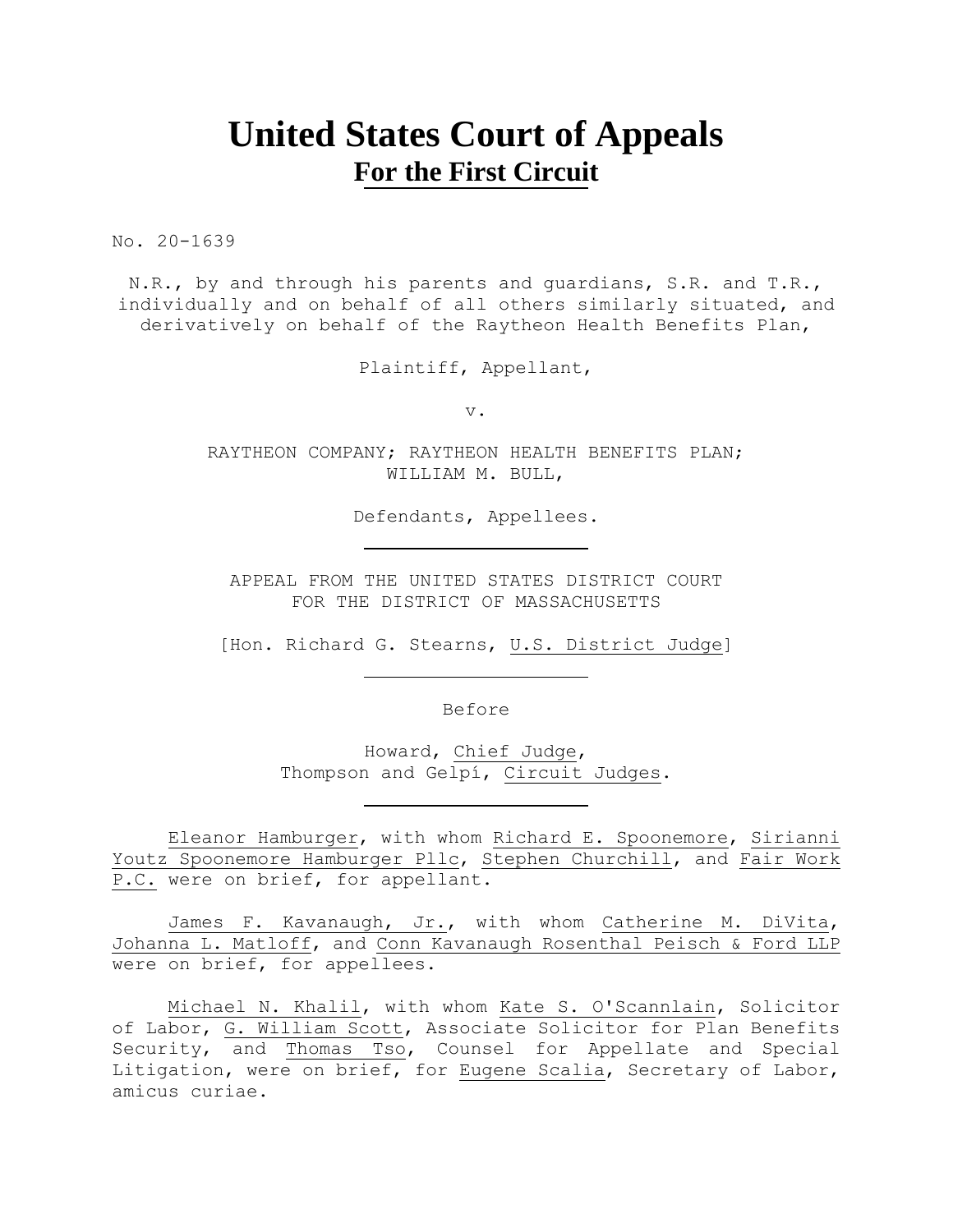# **United States Court of Appeals For the First Circuit**

No. 20-1639

N.R., by and through his parents and guardians, S.R. and T.R., individually and on behalf of all others similarly situated, and derivatively on behalf of the Raytheon Health Benefits Plan,

Plaintiff, Appellant,

v.

RAYTHEON COMPANY; RAYTHEON HEALTH BENEFITS PLAN; WILLIAM M. BULL,

Defendants, Appellees.

APPEAL FROM THE UNITED STATES DISTRICT COURT FOR THE DISTRICT OF MASSACHUSETTS

[Hon. Richard G. Stearns, U.S. District Judge]

Before

Howard, Chief Judge, Thompson and Gelpí, Circuit Judges.

Eleanor Hamburger, with whom Richard E. Spoonemore, Sirianni Youtz Spoonemore Hamburger Pllc, Stephen Churchill, and Fair Work P.C. were on brief, for appellant.

James F. Kavanaugh, Jr., with whom Catherine M. DiVita, Johanna L. Matloff, and Conn Kavanaugh Rosenthal Peisch & Ford LLP were on brief, for appellees.

Michael N. Khalil, with whom Kate S. O'Scannlain, Solicitor of Labor, G. William Scott, Associate Solicitor for Plan Benefits Security, and Thomas Tso, Counsel for Appellate and Special Litigation, were on brief, for Eugene Scalia, Secretary of Labor, amicus curiae.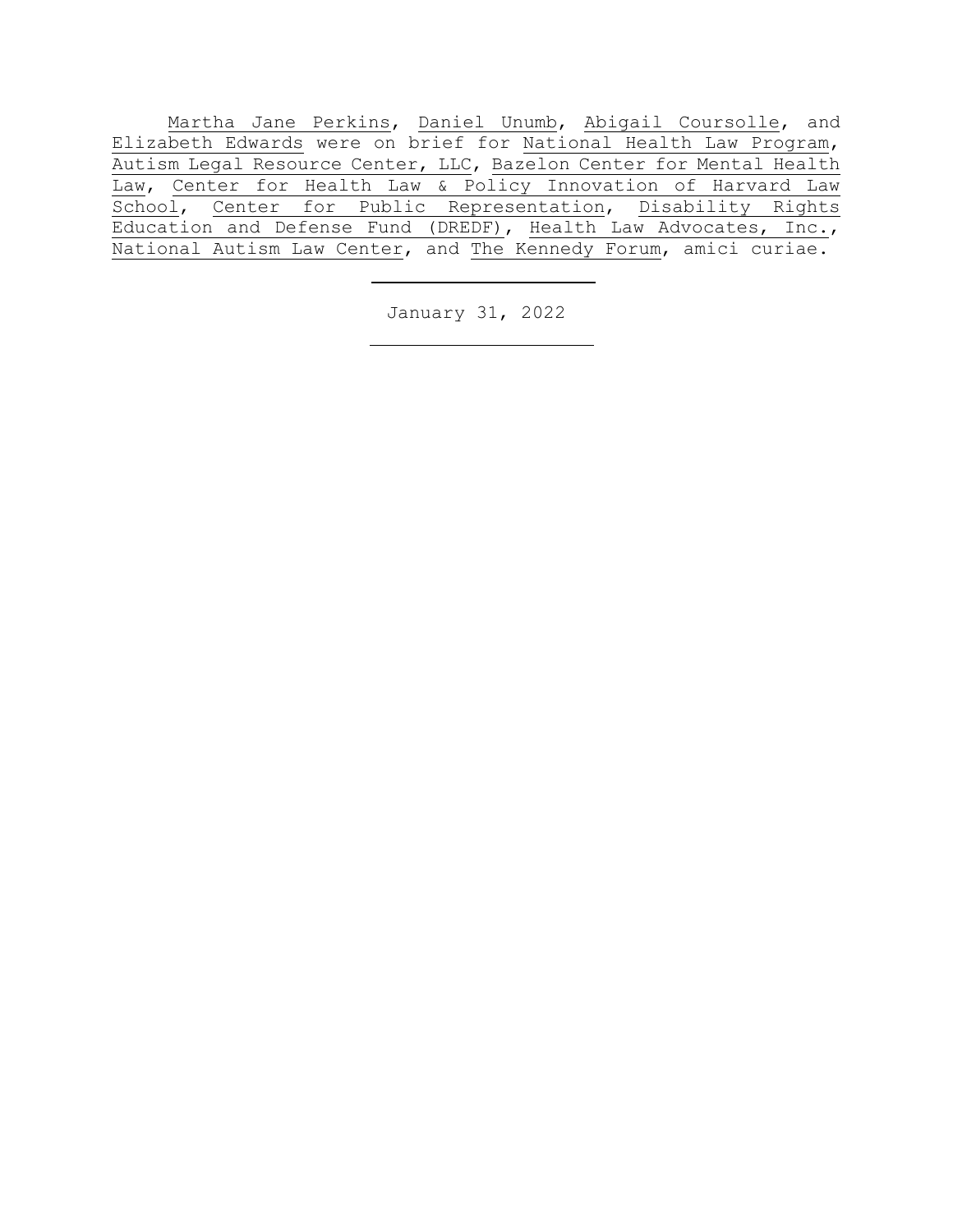Martha Jane Perkins, Daniel Unumb, Abigail Coursolle, and Elizabeth Edwards were on brief for National Health Law Program, Autism Legal Resource Center, LLC, Bazelon Center for Mental Health Law, Center for Health Law & Policy Innovation of Harvard Law School, Center for Public Representation, Disability Rights Education and Defense Fund (DREDF), Health Law Advocates, Inc., National Autism Law Center, and The Kennedy Forum, amici curiae.

January 31, 2022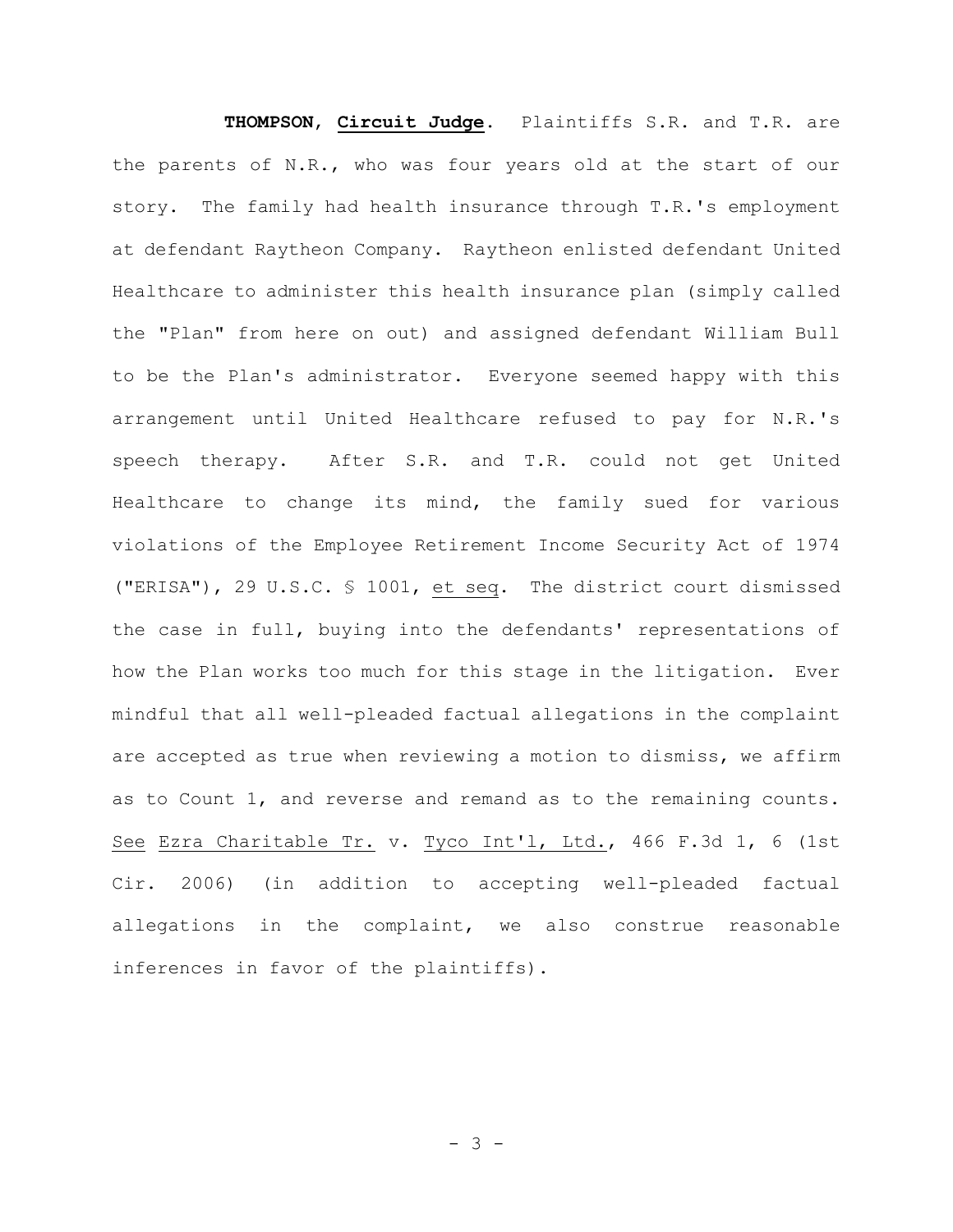**THOMPSON**, **Circuit Judge**. Plaintiffs S.R. and T.R. are the parents of N.R., who was four years old at the start of our story. The family had health insurance through T.R.'s employment at defendant Raytheon Company. Raytheon enlisted defendant United Healthcare to administer this health insurance plan (simply called the "Plan" from here on out) and assigned defendant William Bull to be the Plan's administrator. Everyone seemed happy with this arrangement until United Healthcare refused to pay for N.R.'s speech therapy. After S.R. and T.R. could not get United Healthcare to change its mind, the family sued for various violations of the Employee Retirement Income Security Act of 1974 ("ERISA"), 29 U.S.C. § 1001, et seq. The district court dismissed the case in full, buying into the defendants' representations of how the Plan works too much for this stage in the litigation. Ever mindful that all well-pleaded factual allegations in the complaint are accepted as true when reviewing a motion to dismiss, we affirm as to Count 1, and reverse and remand as to the remaining counts. See Ezra Charitable Tr. v. Tyco Int'l, Ltd., 466 F.3d 1, 6 (1st Cir. 2006) (in addition to accepting well-pleaded factual allegations in the complaint, we also construe reasonable inferences in favor of the plaintiffs).

 $- 3 -$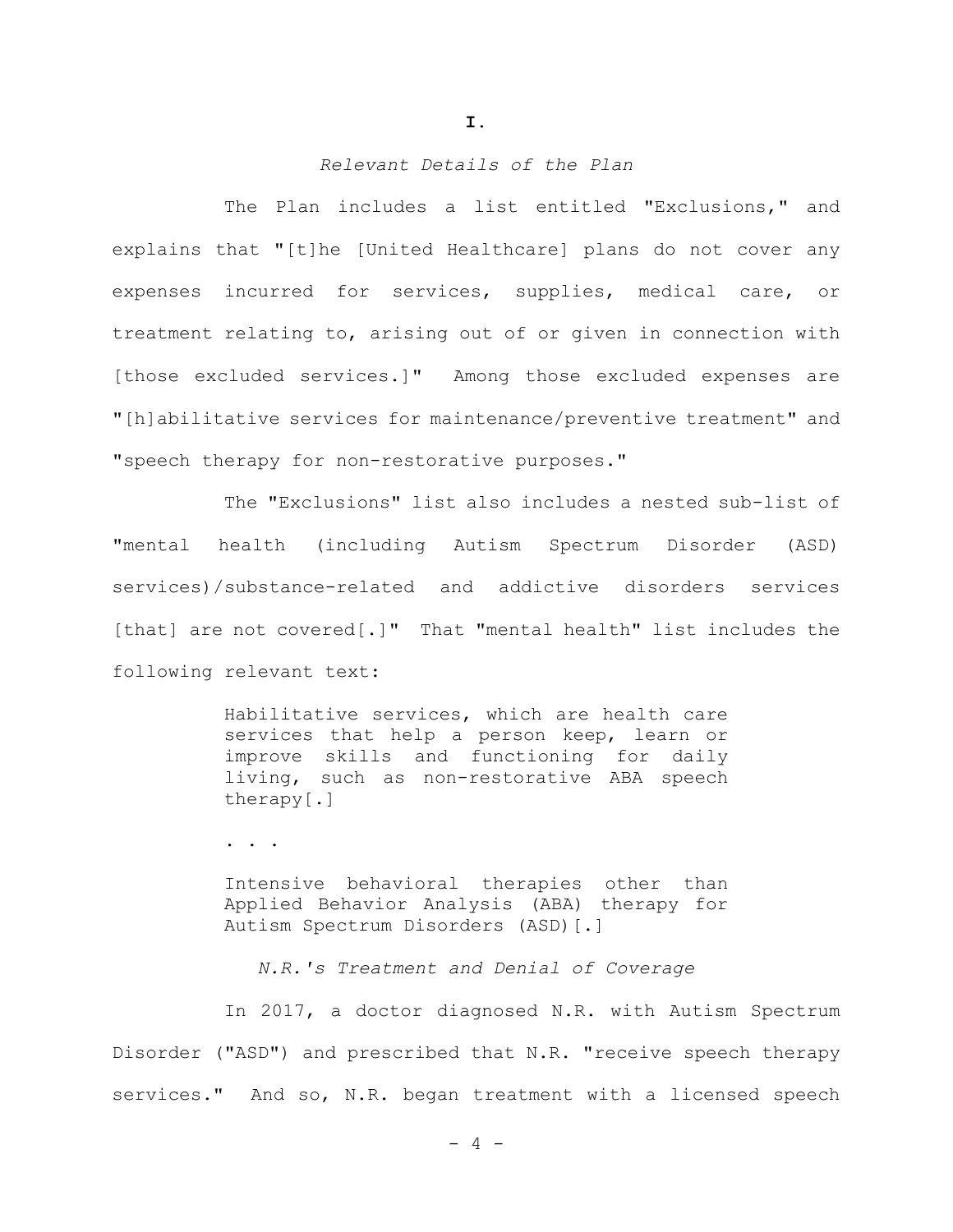### *Relevant Details of the Plan*

The Plan includes a list entitled "Exclusions," and explains that "[t]he [United Healthcare] plans do not cover any expenses incurred for services, supplies, medical care, or treatment relating to, arising out of or given in connection with [those excluded services.]" Among those excluded expenses are "[h]abilitative services for maintenance/preventive treatment" and "speech therapy for non-restorative purposes."

The "Exclusions" list also includes a nested sub-list of "mental health (including Autism Spectrum Disorder (ASD) services)/substance-related and addictive disorders services [that] are not covered[.]"That "mental health" list includes the following relevant text:

> Habilitative services, which are health care services that help a person keep, learn or improve skills and functioning for daily living, such as non-restorative ABA speech therapy[.]

. . .

Intensive behavioral therapies other than Applied Behavior Analysis (ABA) therapy for Autism Spectrum Disorders (ASD)[.]

*N.R.'s Treatment and Denial of Coverage*

In 2017, a doctor diagnosed N.R. with Autism Spectrum Disorder ("ASD") and prescribed that N.R. "receive speech therapy services." And so, N.R. began treatment with a licensed speech

**I.**

 $- 4 -$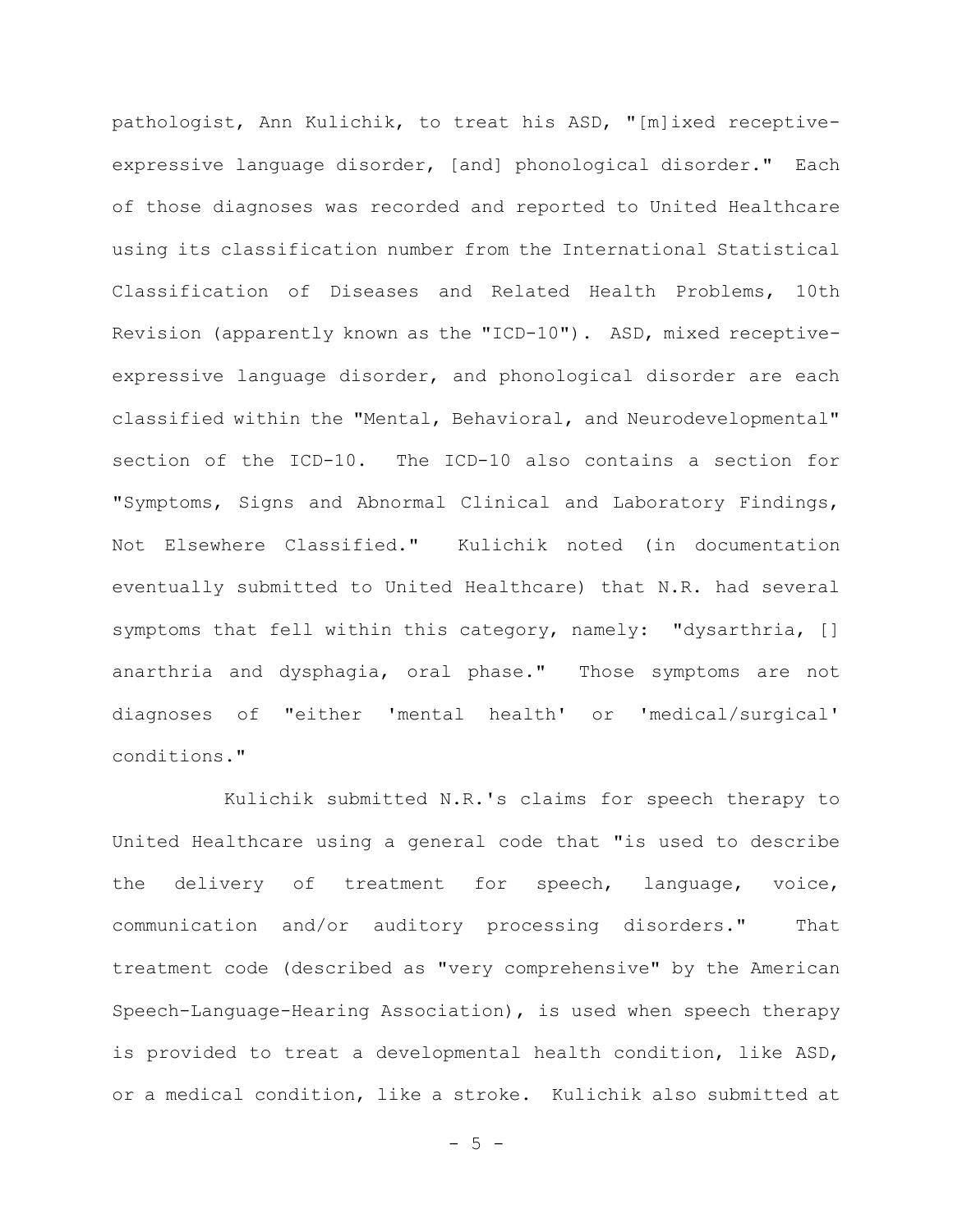pathologist, Ann Kulichik, to treat his ASD, "[m]ixed receptiveexpressive language disorder, [and] phonological disorder." Each of those diagnoses was recorded and reported to United Healthcare using its classification number from the International Statistical Classification of Diseases and Related Health Problems, 10th Revision (apparently known as the "ICD-10"). ASD, mixed receptiveexpressive language disorder, and phonological disorder are each classified within the "Mental, Behavioral, and Neurodevelopmental" section of the ICD-10. The ICD-10 also contains a section for "Symptoms, Signs and Abnormal Clinical and Laboratory Findings, Not Elsewhere Classified." Kulichik noted (in documentation eventually submitted to United Healthcare) that N.R. had several symptoms that fell within this category, namely: "dysarthria, [] anarthria and dysphagia, oral phase." Those symptoms are not diagnoses of "either 'mental health' or 'medical/surgical' conditions."

Kulichik submitted N.R.'s claims for speech therapy to United Healthcare using a general code that "is used to describe the delivery of treatment for speech, language, voice, communication and/or auditory processing disorders." That treatment code (described as "very comprehensive" by the American Speech-Language-Hearing Association), is used when speech therapy is provided to treat a developmental health condition, like ASD, or a medical condition, like a stroke. Kulichik also submitted at

 $- 5 -$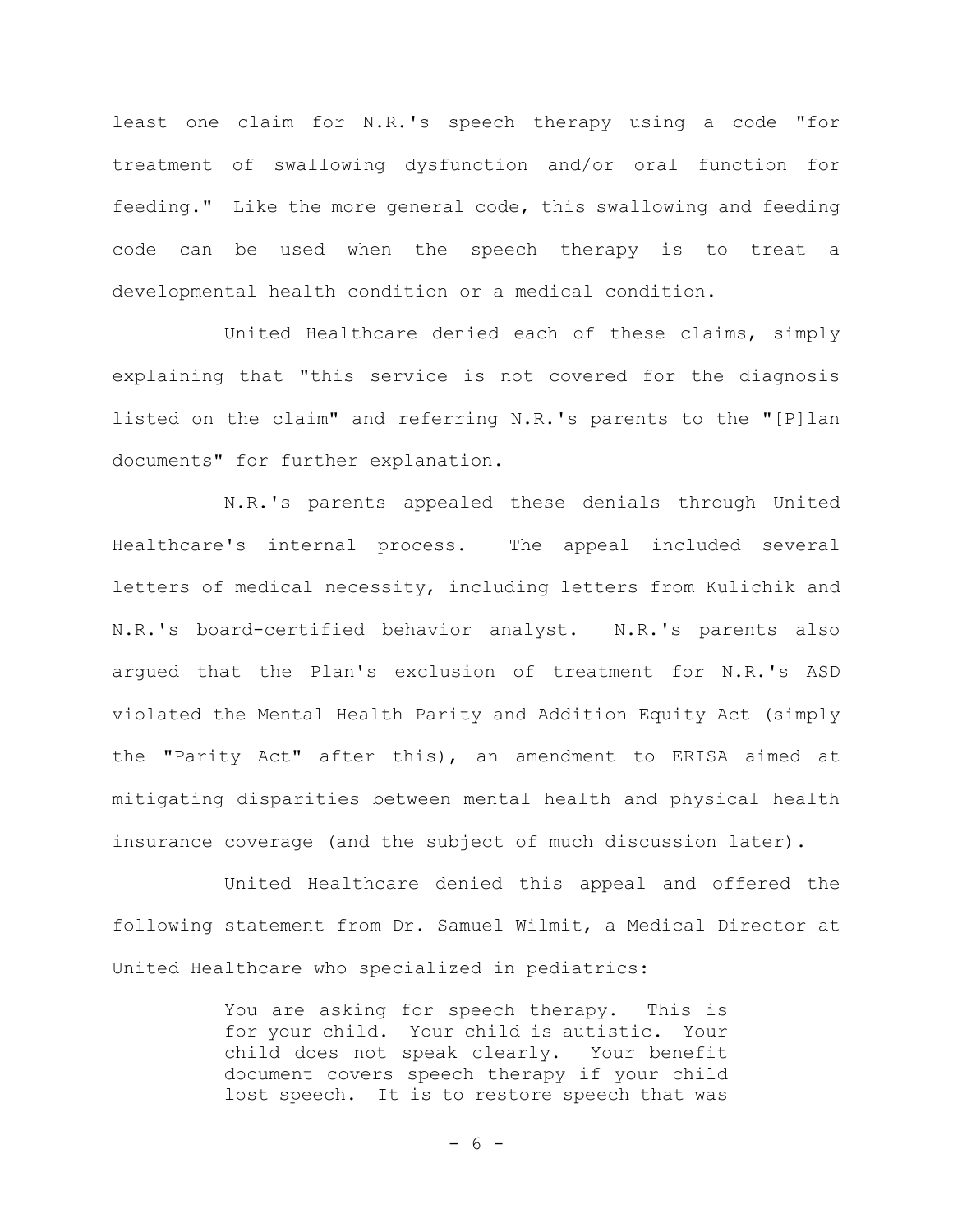least one claim for N.R.'s speech therapy using a code "for treatment of swallowing dysfunction and/or oral function for feeding." Like the more general code, this swallowing and feeding code can be used when the speech therapy is to treat a developmental health condition or a medical condition.

United Healthcare denied each of these claims, simply explaining that "this service is not covered for the diagnosis listed on the claim" and referring N.R.'s parents to the "[P]lan documents" for further explanation.

N.R.'s parents appealed these denials through United Healthcare's internal process. The appeal included several letters of medical necessity, including letters from Kulichik and N.R.'s board-certified behavior analyst. N.R.'s parents also argued that the Plan's exclusion of treatment for N.R.'s ASD violated the Mental Health Parity and Addition Equity Act (simply the "Parity Act" after this), an amendment to ERISA aimed at mitigating disparities between mental health and physical health insurance coverage (and the subject of much discussion later).

United Healthcare denied this appeal and offered the following statement from Dr. Samuel Wilmit, a Medical Director at United Healthcare who specialized in pediatrics:

> You are asking for speech therapy. This is for your child. Your child is autistic. Your child does not speak clearly. Your benefit document covers speech therapy if your child lost speech. It is to restore speech that was

> > $- 6 -$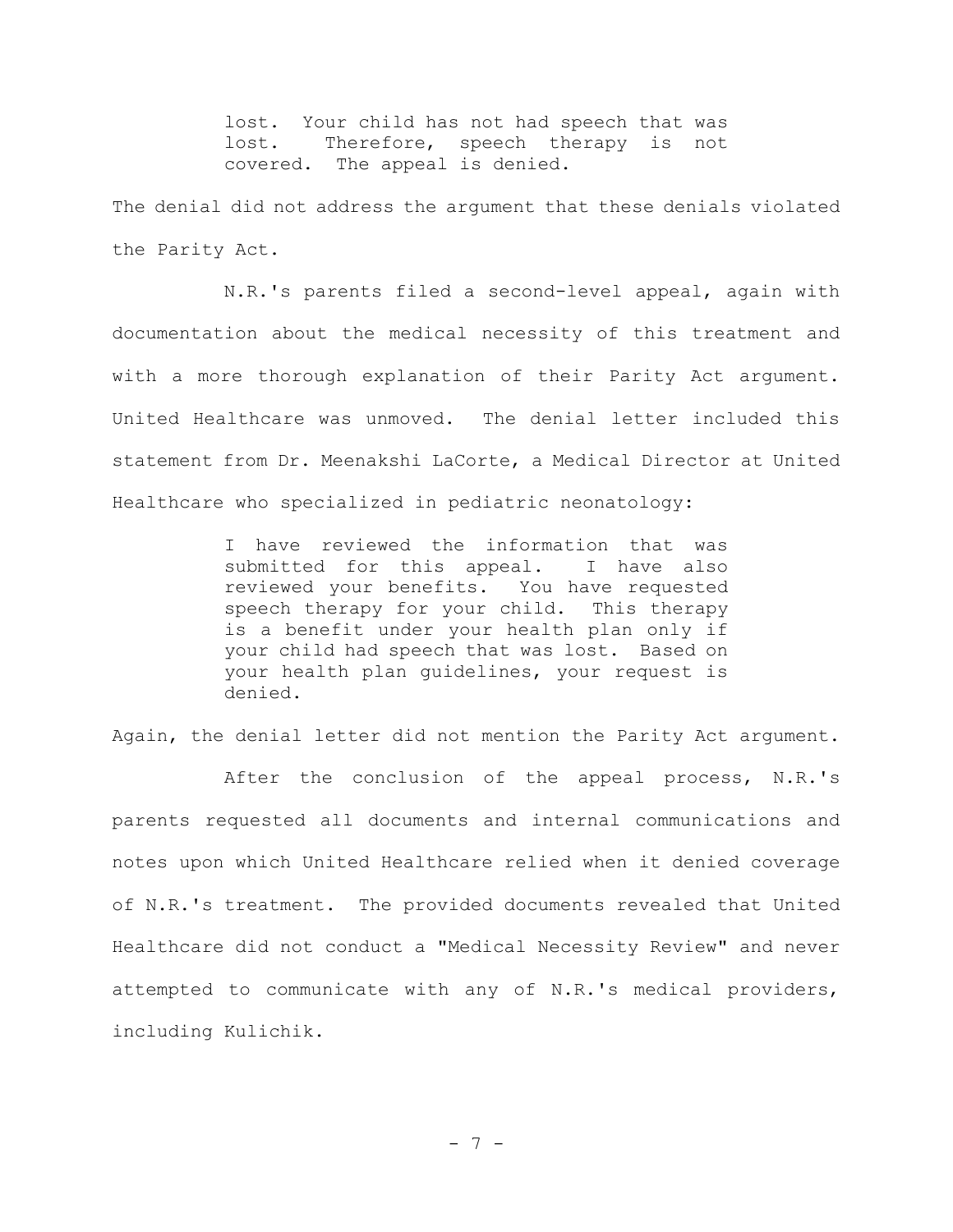lost. Your child has not had speech that was lost. Therefore, speech therapy is not covered. The appeal is denied.

The denial did not address the argument that these denials violated the Parity Act.

N.R.'s parents filed a second-level appeal, again with documentation about the medical necessity of this treatment and with a more thorough explanation of their Parity Act argument. United Healthcare was unmoved. The denial letter included this statement from Dr. Meenakshi LaCorte, a Medical Director at United Healthcare who specialized in pediatric neonatology:

> I have reviewed the information that was submitted for this appeal. I have also reviewed your benefits. You have requested speech therapy for your child. This therapy is a benefit under your health plan only if your child had speech that was lost. Based on your health plan guidelines, your request is denied.

Again, the denial letter did not mention the Parity Act argument.

After the conclusion of the appeal process, N.R.'s parents requested all documents and internal communications and notes upon which United Healthcare relied when it denied coverage of N.R.'s treatment. The provided documents revealed that United Healthcare did not conduct a "Medical Necessity Review" and never attempted to communicate with any of N.R.'s medical providers, including Kulichik.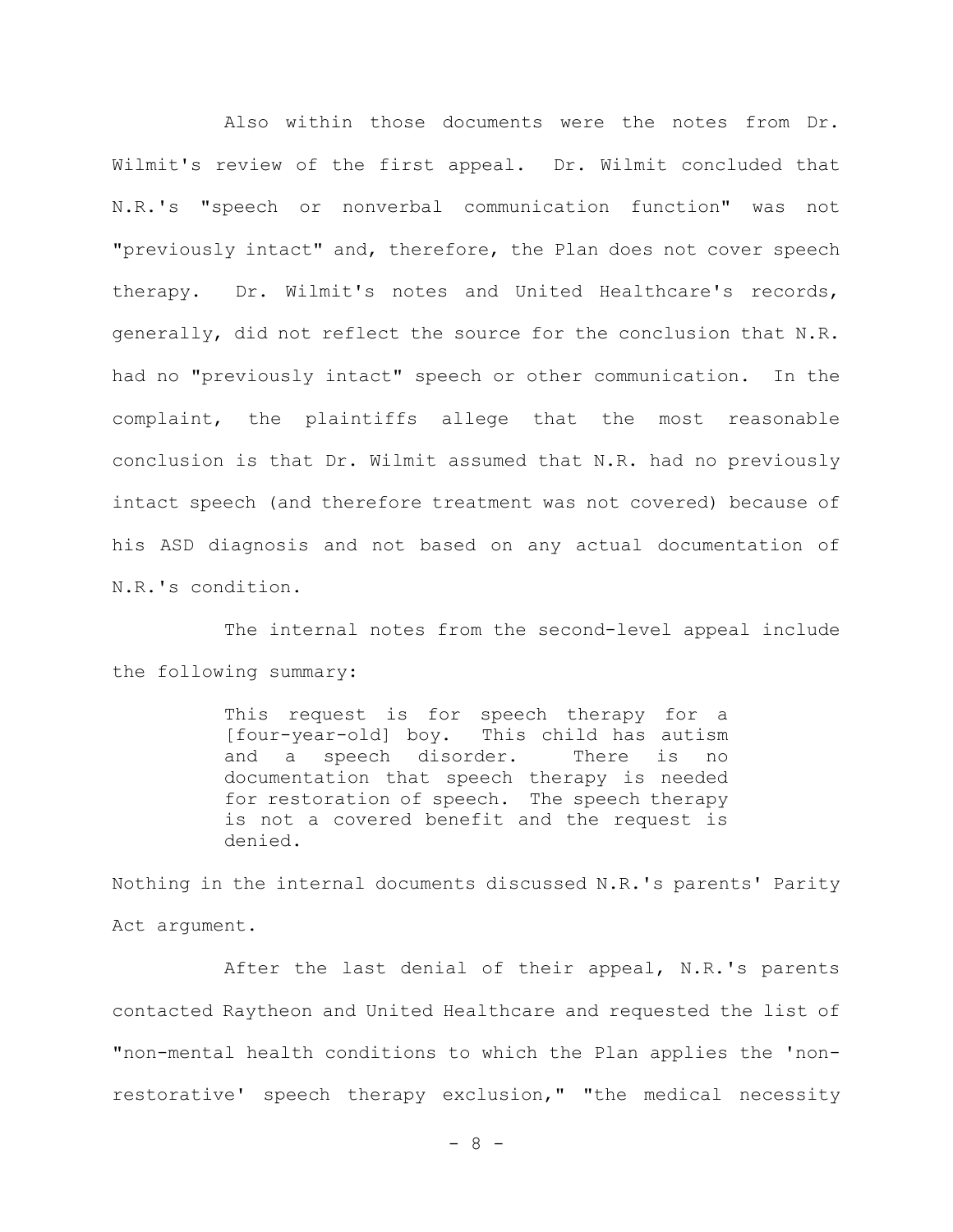Also within those documents were the notes from Dr. Wilmit's review of the first appeal. Dr. Wilmit concluded that N.R.'s "speech or nonverbal communication function" was not "previously intact" and, therefore, the Plan does not cover speech therapy. Dr. Wilmit's notes and United Healthcare's records, generally, did not reflect the source for the conclusion that N.R. had no "previously intact" speech or other communication. In the complaint, the plaintiffs allege that the most reasonable conclusion is that Dr. Wilmit assumed that N.R. had no previously intact speech (and therefore treatment was not covered) because of his ASD diagnosis and not based on any actual documentation of N.R.'s condition.

The internal notes from the second-level appeal include the following summary:

> This request is for speech therapy for a [four-year-old] boy. This child has autism and a speech disorder. There is no documentation that speech therapy is needed for restoration of speech. The speech therapy is not a covered benefit and the request is denied.

Nothing in the internal documents discussed N.R.'s parents' Parity Act argument.

After the last denial of their appeal, N.R.'s parents contacted Raytheon and United Healthcare and requested the list of "non-mental health conditions to which the Plan applies the 'nonrestorative' speech therapy exclusion," "the medical necessity

- 8 -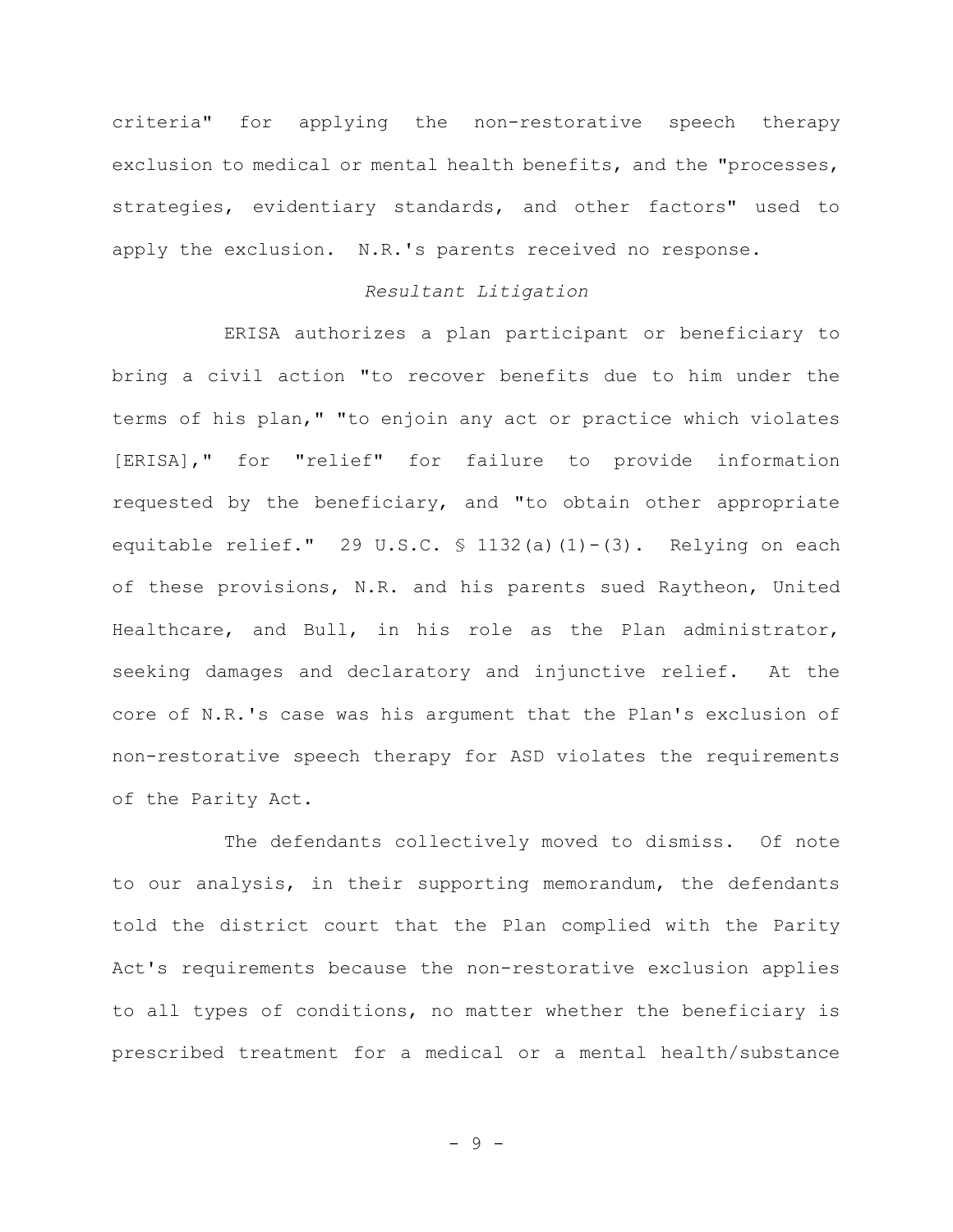criteria" for applying the non-restorative speech therapy exclusion to medical or mental health benefits, and the "processes, strategies, evidentiary standards, and other factors" used to apply the exclusion. N.R.'s parents received no response.

#### *Resultant Litigation*

ERISA authorizes a plan participant or beneficiary to bring a civil action "to recover benefits due to him under the terms of his plan," "to enjoin any act or practice which violates [ERISA]," for "relief" for failure to provide information requested by the beneficiary, and "to obtain other appropriate equitable relief." 29 U.S.C.  $\frac{132}{a}(1)-(3)$ . Relying on each of these provisions, N.R. and his parents sued Raytheon, United Healthcare, and Bull, in his role as the Plan administrator, seeking damages and declaratory and injunctive relief. At the core of N.R.'s case was his argument that the Plan's exclusion of non-restorative speech therapy for ASD violates the requirements of the Parity Act.

The defendants collectively moved to dismiss. Of note to our analysis, in their supporting memorandum, the defendants told the district court that the Plan complied with the Parity Act's requirements because the non-restorative exclusion applies to all types of conditions, no matter whether the beneficiary is prescribed treatment for a medical or a mental health/substance

- 9 -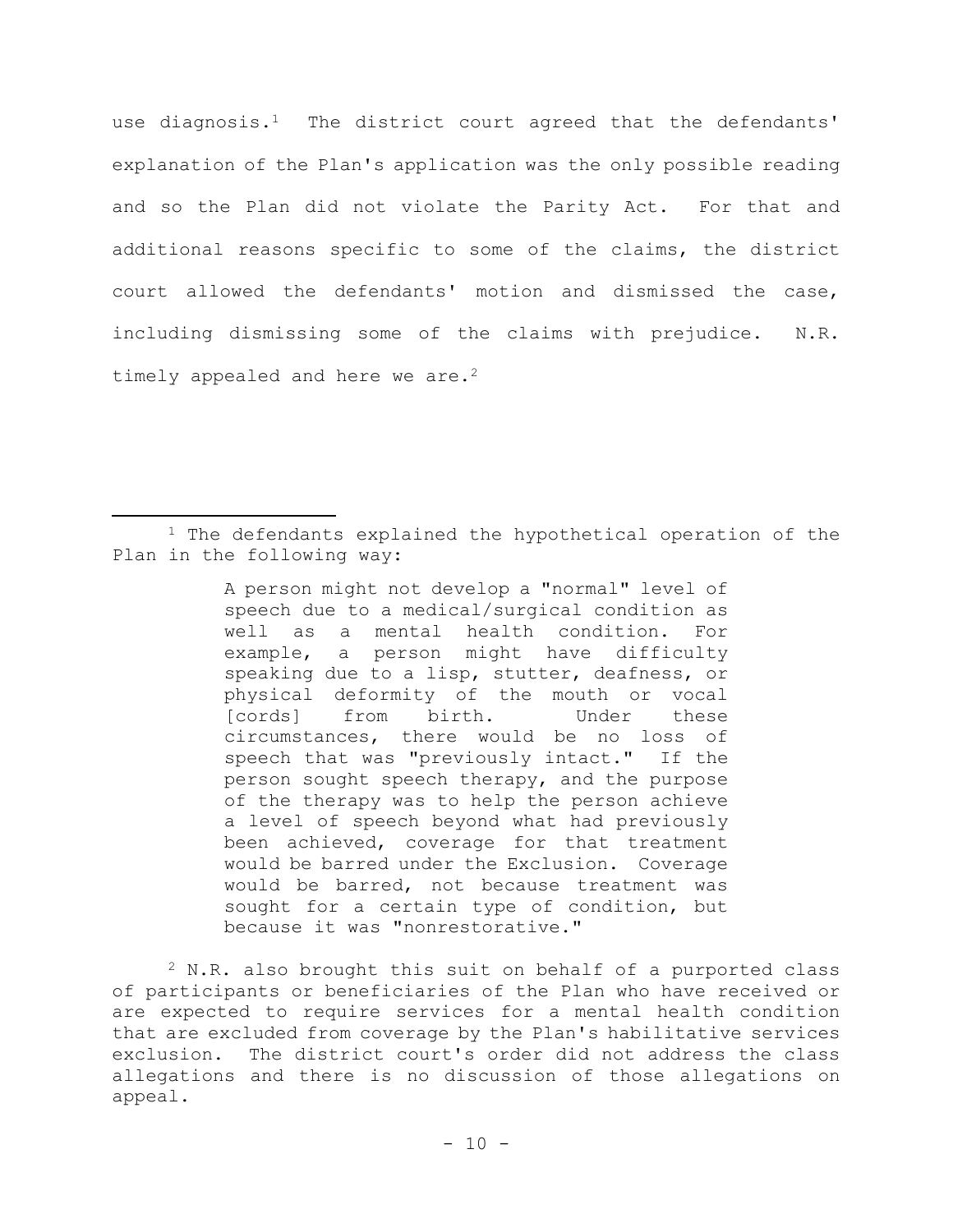use diagnosis.<sup>1</sup> The district court agreed that the defendants' explanation of the Plan's application was the only possible reading and so the Plan did not violate the Parity Act. For that and additional reasons specific to some of the claims, the district court allowed the defendants' motion and dismissed the case, including dismissing some of the claims with prejudice. N.R. timely appealed and here we are.<sup>2</sup>

A person might not develop a "normal" level of speech due to a medical/surgical condition as well as a mental health condition. For example, a person might have difficulty speaking due to a lisp, stutter, deafness, or physical deformity of the mouth or vocal [cords] from birth. Under these circumstances, there would be no loss of speech that was "previously intact." If the person sought speech therapy, and the purpose of the therapy was to help the person achieve a level of speech beyond what had previously been achieved, coverage for that treatment would be barred under the Exclusion. Coverage would be barred, not because treatment was sought for a certain type of condition, but because it was "nonrestorative."

<sup>2</sup> N.R. also brought this suit on behalf of a purported class of participants or beneficiaries of the Plan who have received or are expected to require services for a mental health condition that are excluded from coverage by the Plan's habilitative services exclusion. The district court's order did not address the class allegations and there is no discussion of those allegations on appeal.

 $1$  The defendants explained the hypothetical operation of the Plan in the following way: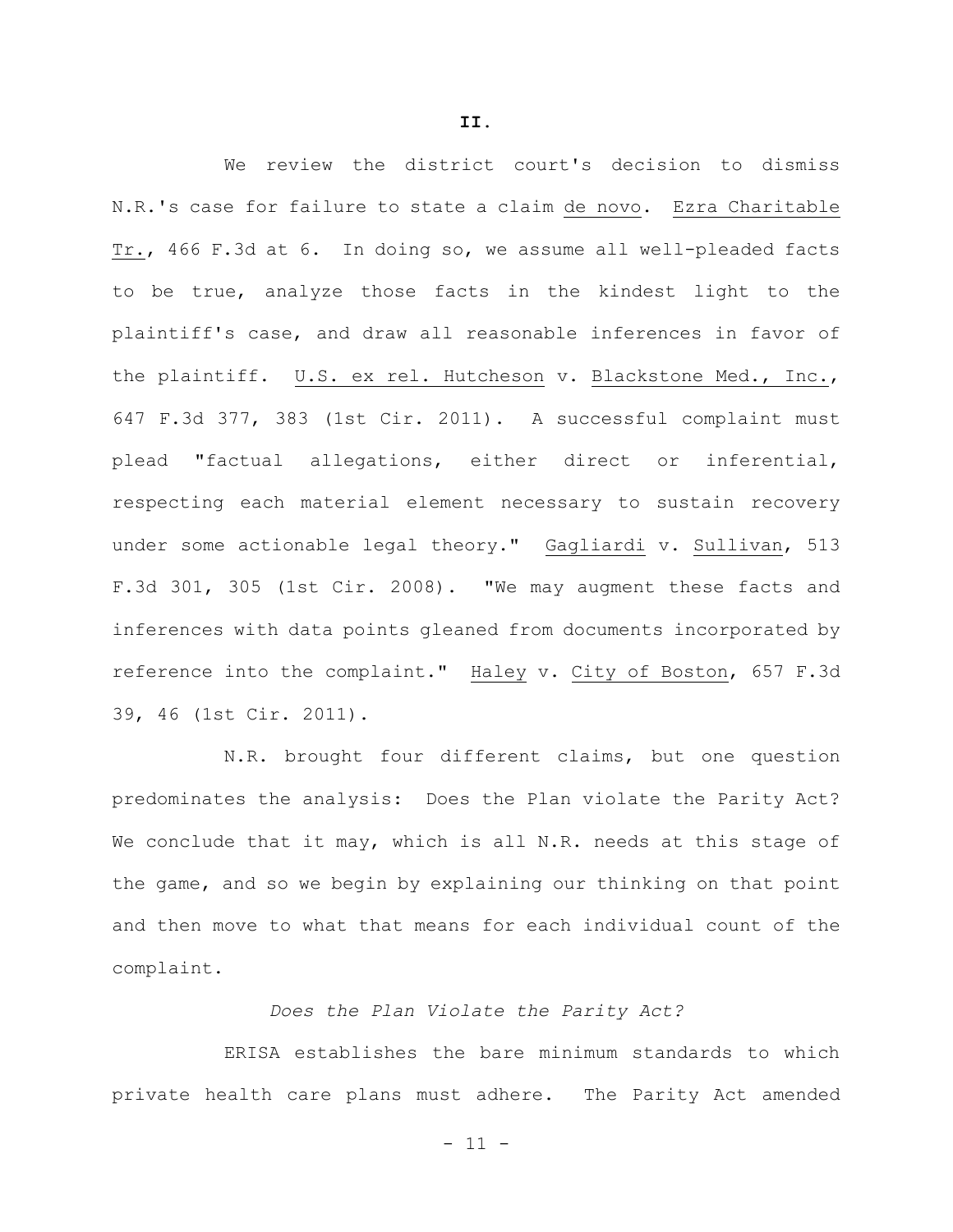We review the district court's decision to dismiss N.R.'s case for failure to state a claim de novo. Ezra Charitable Tr., 466 F.3d at 6. In doing so, we assume all well-pleaded facts to be true, analyze those facts in the kindest light to the plaintiff's case, and draw all reasonable inferences in favor of the plaintiff. U.S. ex rel. Hutcheson v. Blackstone Med., Inc., 647 F.3d 377, 383 (1st Cir. 2011). A successful complaint must plead "factual allegations, either direct or inferential, respecting each material element necessary to sustain recovery under some actionable legal theory." Gagliardi v. Sullivan, 513 F.3d 301, 305 (1st Cir. 2008). "We may augment these facts and inferences with data points gleaned from documents incorporated by reference into the complaint." Haley v. City of Boston, 657 F.3d 39, 46 (1st Cir. 2011).

N.R. brought four different claims, but one question predominates the analysis: Does the Plan violate the Parity Act? We conclude that it may, which is all N.R. needs at this stage of the game, and so we begin by explaining our thinking on that point and then move to what that means for each individual count of the complaint.

*Does the Plan Violate the Parity Act?*

ERISA establishes the bare minimum standards to which private health care plans must adhere. The Parity Act amended

**II.**

 $- 11 -$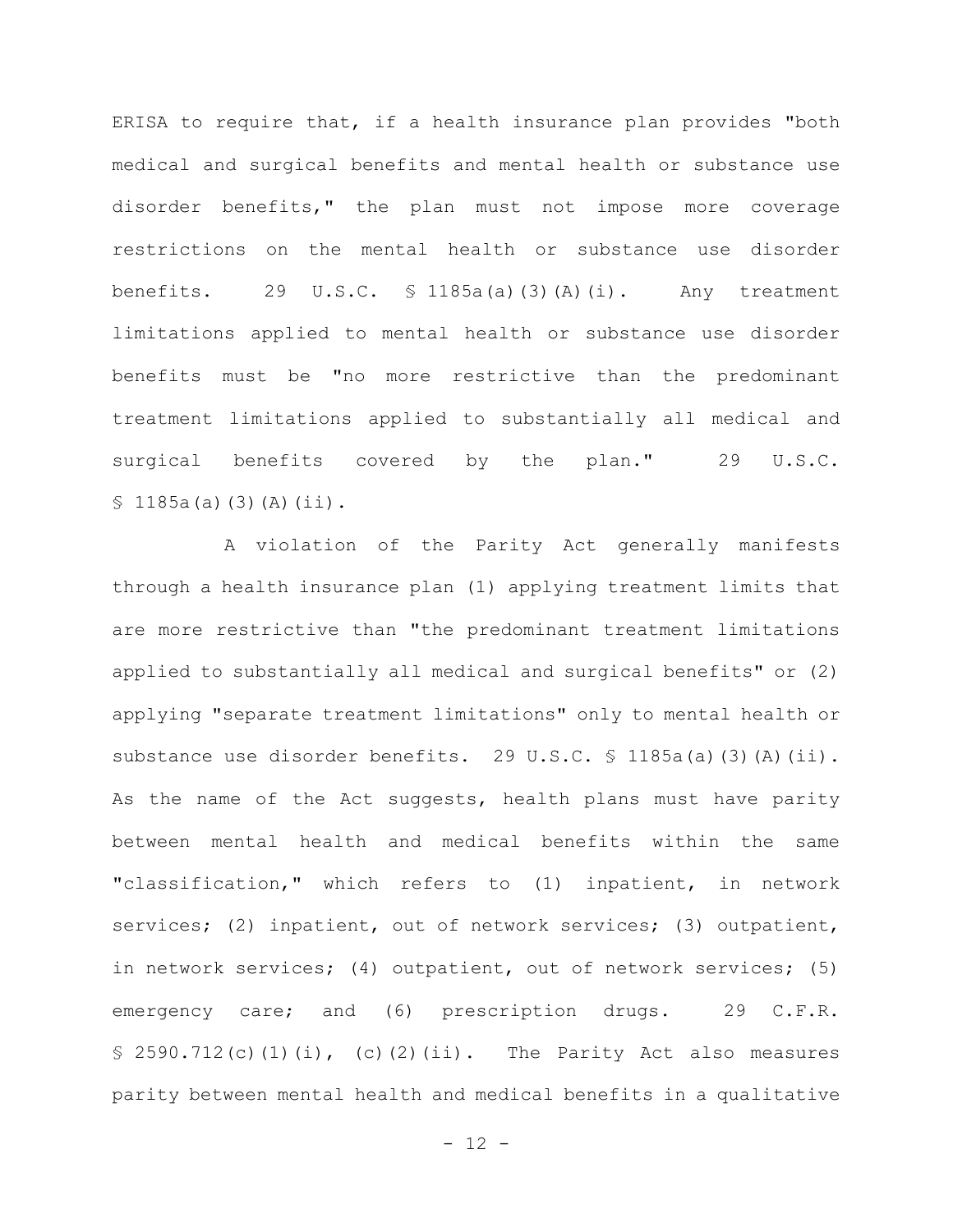ERISA to require that, if a health insurance plan provides "both medical and surgical benefits and mental health or substance use disorder benefits," the plan must not impose more coverage restrictions on the mental health or substance use disorder benefits. 29 U.S.C. § 1185a(a)(3)(A)(i). Any treatment limitations applied to mental health or substance use disorder benefits must be "no more restrictive than the predominant treatment limitations applied to substantially all medical and surgical benefits covered by the plan." 29 U.S.C.  $$1185a(a)(3)(A)(ii).$ 

A violation of the Parity Act generally manifests through a health insurance plan (1) applying treatment limits that are more restrictive than "the predominant treatment limitations applied to substantially all medical and surgical benefits" or (2) applying "separate treatment limitations" only to mental health or substance use disorder benefits. 29 U.S.C. § 1185a(a)(3)(A)(ii). As the name of the Act suggests, health plans must have parity between mental health and medical benefits within the same "classification," which refers to (1) inpatient, in network services; (2) inpatient, out of network services; (3) outpatient, in network services; (4) outpatient, out of network services; (5) emergency care; and (6) prescription drugs. 29 C.F.R.  $$ 2590.712(c)(1)(i), (c)(2)(ii).$  The Parity Act also measures parity between mental health and medical benefits in a qualitative

 $- 12 -$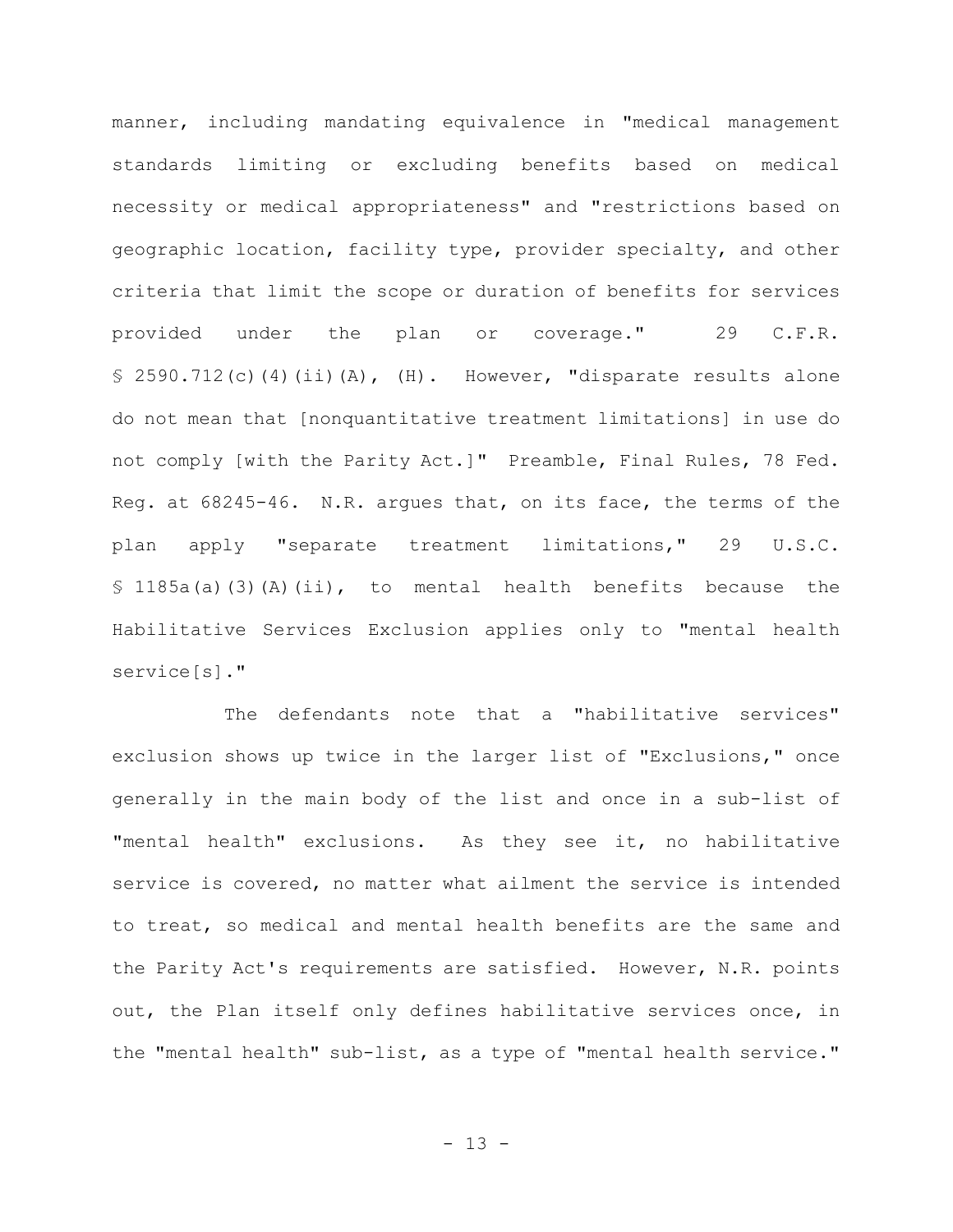manner, including mandating equivalence in "medical management standards limiting or excluding benefits based on medical necessity or medical appropriateness" and "restrictions based on geographic location, facility type, provider specialty, and other criteria that limit the scope or duration of benefits for services provided under the plan or coverage." 29 C.F.R.  $$ 2590.712(c) (4) (ii) (A), (H).$  However, "disparate results alone do not mean that [nonquantitative treatment limitations] in use do not comply [with the Parity Act.]" Preamble, Final Rules, 78 Fed. Reg. at 68245-46. N.R. argues that, on its face, the terms of the plan apply "separate treatment limitations," 29 U.S.C. § 1185a(a)(3)(A)(ii), to mental health benefits because the Habilitative Services Exclusion applies only to "mental health service[s]."

The defendants note that a "habilitative services" exclusion shows up twice in the larger list of "Exclusions," once generally in the main body of the list and once in a sub-list of "mental health" exclusions. As they see it, no habilitative service is covered, no matter what ailment the service is intended to treat, so medical and mental health benefits are the same and the Parity Act's requirements are satisfied. However, N.R. points out, the Plan itself only defines habilitative services once, in the "mental health" sub-list, as a type of "mental health service."

- 13 -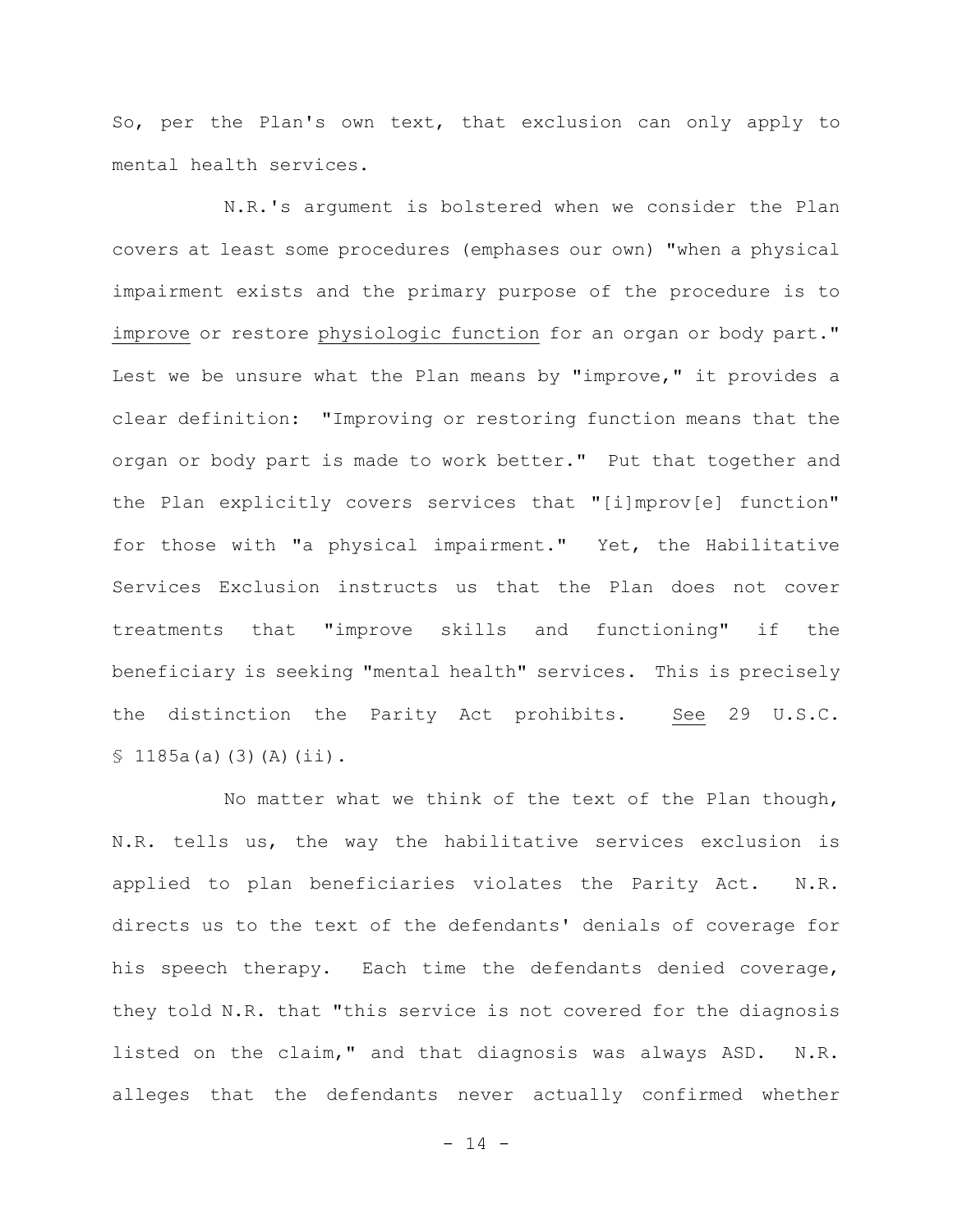So, per the Plan's own text, that exclusion can only apply to mental health services.

N.R.'s argument is bolstered when we consider the Plan covers at least some procedures (emphases our own) "when a physical impairment exists and the primary purpose of the procedure is to improve or restore physiologic function for an organ or body part." Lest we be unsure what the Plan means by "improve," it provides a clear definition: "Improving or restoring function means that the organ or body part is made to work better." Put that together and the Plan explicitly covers services that "[i]mprov[e] function" for those with "a physical impairment." Yet, the Habilitative Services Exclusion instructs us that the Plan does not cover treatments that "improve skills and functioning" if the beneficiary is seeking "mental health" services. This is precisely the distinction the Parity Act prohibits. See 29 U.S.C.  $$1185a(a)(3)(A)(ii).$ 

No matter what we think of the text of the Plan though, N.R. tells us, the way the habilitative services exclusion is applied to plan beneficiaries violates the Parity Act. N.R. directs us to the text of the defendants' denials of coverage for his speech therapy. Each time the defendants denied coverage, they told N.R. that "this service is not covered for the diagnosis listed on the claim," and that diagnosis was always ASD. N.R. alleges that the defendants never actually confirmed whether

 $- 14 -$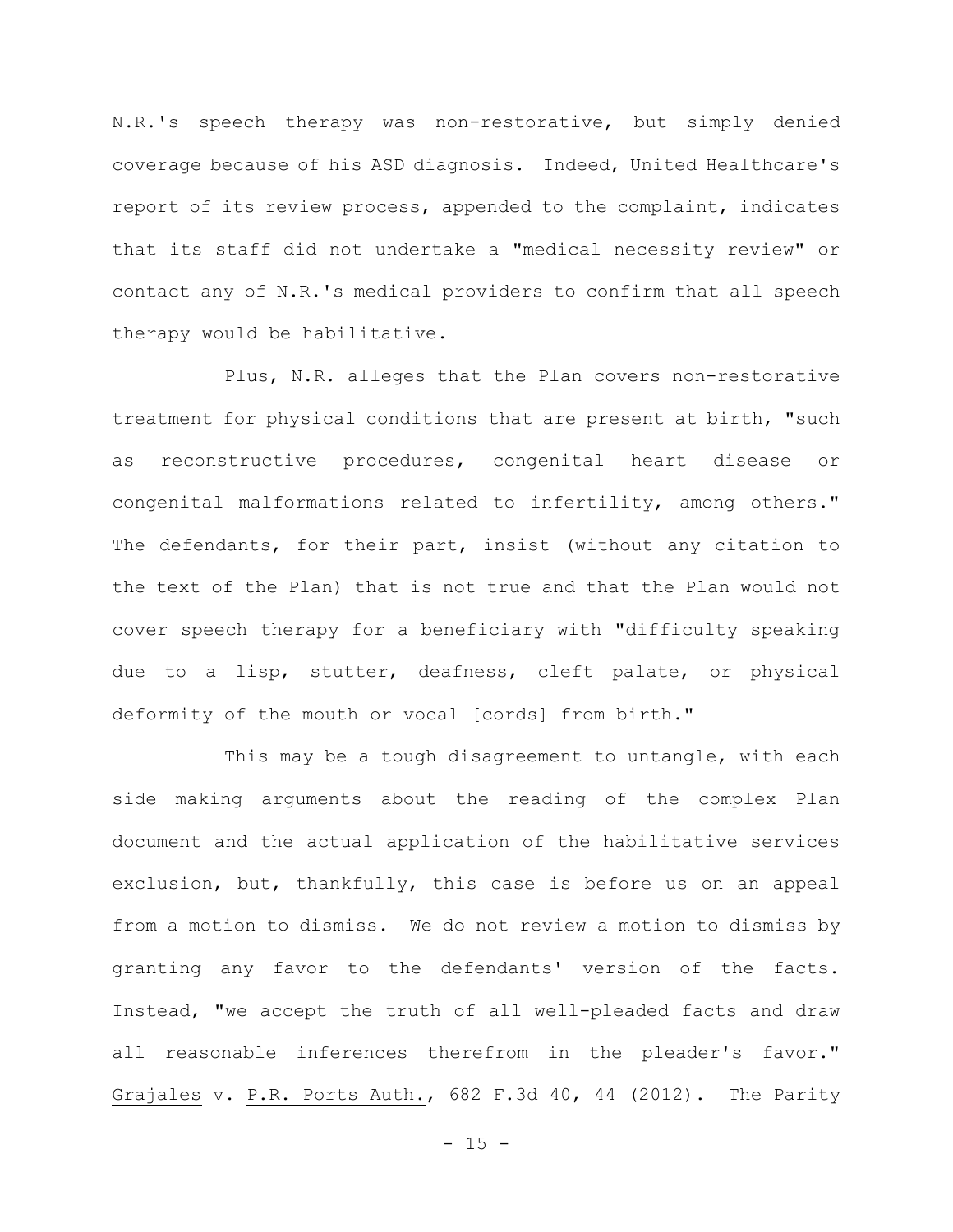N.R.'s speech therapy was non-restorative, but simply denied coverage because of his ASD diagnosis. Indeed, United Healthcare's report of its review process, appended to the complaint, indicates that its staff did not undertake a "medical necessity review" or contact any of N.R.'s medical providers to confirm that all speech therapy would be habilitative.

Plus, N.R. alleges that the Plan covers non-restorative treatment for physical conditions that are present at birth, "such as reconstructive procedures, congenital heart disease or congenital malformations related to infertility, among others." The defendants, for their part, insist (without any citation to the text of the Plan) that is not true and that the Plan would not cover speech therapy for a beneficiary with "difficulty speaking due to a lisp, stutter, deafness, cleft palate, or physical deformity of the mouth or vocal [cords] from birth."

This may be a tough disagreement to untangle, with each side making arguments about the reading of the complex Plan document and the actual application of the habilitative services exclusion, but, thankfully, this case is before us on an appeal from a motion to dismiss. We do not review a motion to dismiss by granting any favor to the defendants' version of the facts. Instead, "we accept the truth of all well-pleaded facts and draw all reasonable inferences therefrom in the pleader's favor." Grajales v. P.R. Ports Auth., 682 F.3d 40, 44 (2012). The Parity

 $- 15 -$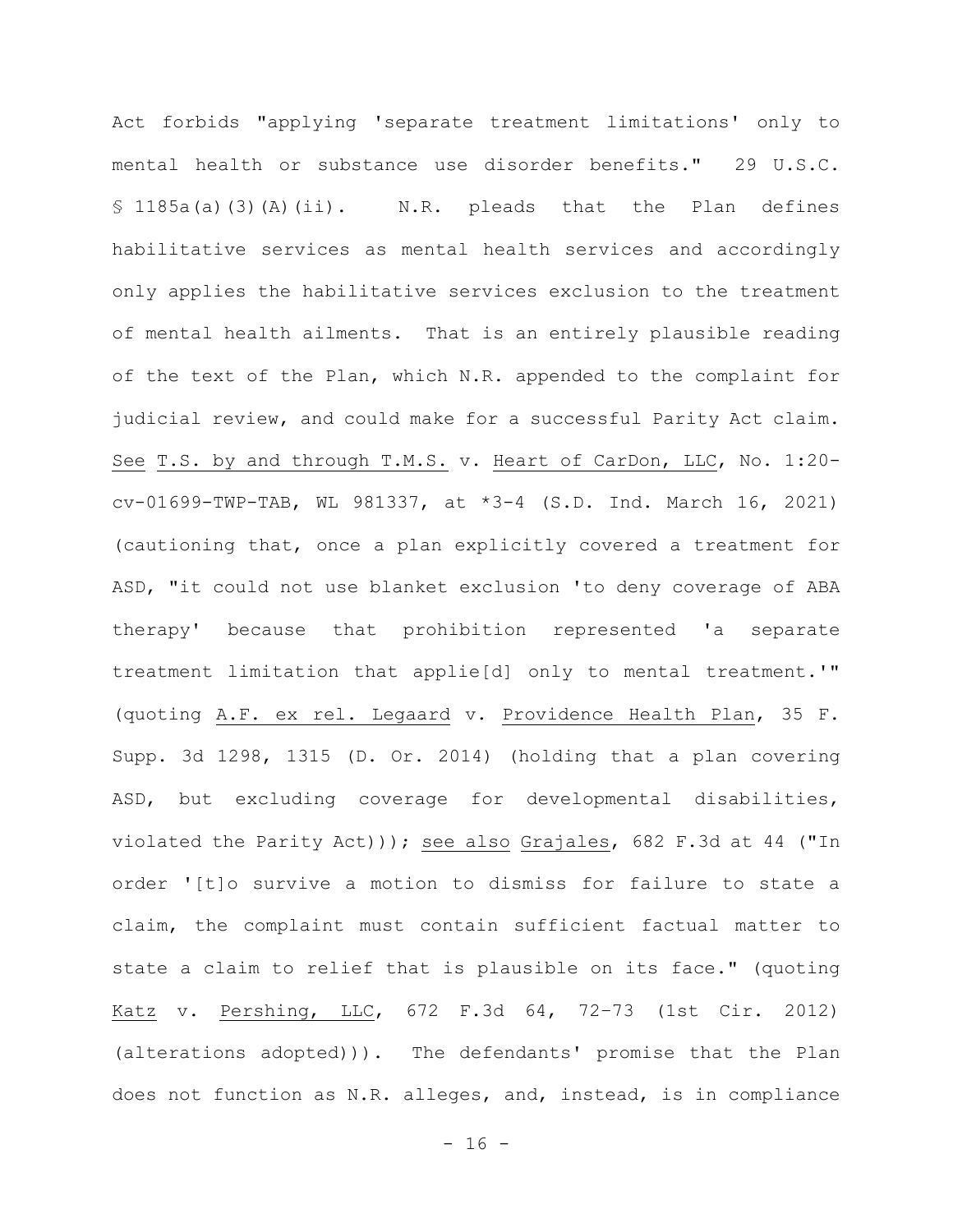Act forbids "applying 'separate treatment limitations' only to mental health or substance use disorder benefits." 29 U.S.C. § 1185a(a)(3)(A)(ii). N.R. pleads that the Plan defines habilitative services as mental health services and accordingly only applies the habilitative services exclusion to the treatment of mental health ailments. That is an entirely plausible reading of the text of the Plan, which N.R. appended to the complaint for judicial review, and could make for a successful Parity Act claim. See T.S. by and through T.M.S. v. Heart of CarDon, LLC, No. 1:20 cv-01699-TWP-TAB, WL 981337, at \*3-4 (S.D. Ind. March 16, 2021) (cautioning that, once a plan explicitly covered a treatment for ASD, "it could not use blanket exclusion 'to deny coverage of ABA therapy' because that prohibition represented 'a separate treatment limitation that applie[d] only to mental treatment.'" (quoting A.F. ex rel. Legaard v. Providence Health Plan, 35 F. Supp. 3d 1298, 1315 (D. Or. 2014) (holding that a plan covering ASD, but excluding coverage for developmental disabilities, violated the Parity Act))); see also Grajales, 682 F.3d at 44 ("In order '[t]o survive a motion to dismiss for failure to state a claim, the complaint must contain sufficient factual matter to state a claim to relief that is plausible on its face." (quoting Katz v. Pershing, LLC, 672 F.3d 64, 72–73 (1st Cir. 2012) (alterations adopted))). The defendants' promise that the Plan does not function as N.R. alleges, and, instead, is in compliance

 $- 16 -$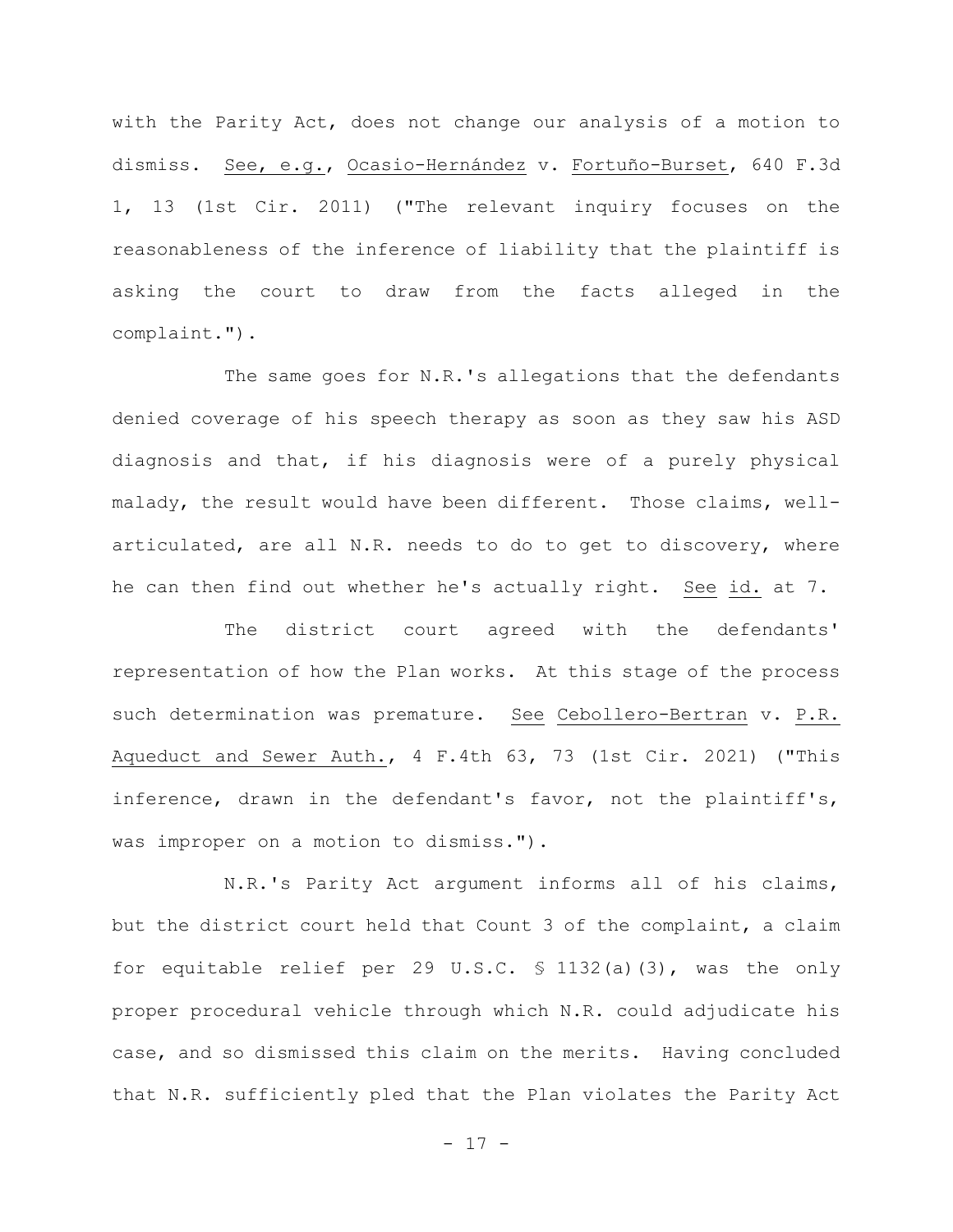with the Parity Act, does not change our analysis of a motion to dismiss. See, e.g., Ocasio-Hernández v. Fortuño-Burset, 640 F.3d 1, 13 (1st Cir. 2011) ("The relevant inquiry focuses on the reasonableness of the inference of liability that the plaintiff is asking the court to draw from the facts alleged in the complaint.").

The same goes for N.R.'s allegations that the defendants denied coverage of his speech therapy as soon as they saw his ASD diagnosis and that, if his diagnosis were of a purely physical malady, the result would have been different. Those claims, wellarticulated, are all N.R. needs to do to get to discovery, where he can then find out whether he's actually right. See id. at 7.

The district court agreed with the defendants' representation of how the Plan works. At this stage of the process such determination was premature. See Cebollero-Bertran v. P.R. Aqueduct and Sewer Auth., 4 F.4th 63, 73 (1st Cir. 2021) ("This inference, drawn in the defendant's favor, not the plaintiff's, was improper on a motion to dismiss.").

N.R.'s Parity Act argument informs all of his claims, but the district court held that Count 3 of the complaint, a claim for equitable relief per 29 U.S.C. § 1132(a)(3), was the only proper procedural vehicle through which N.R. could adjudicate his case, and so dismissed this claim on the merits. Having concluded that N.R. sufficiently pled that the Plan violates the Parity Act

- 17 -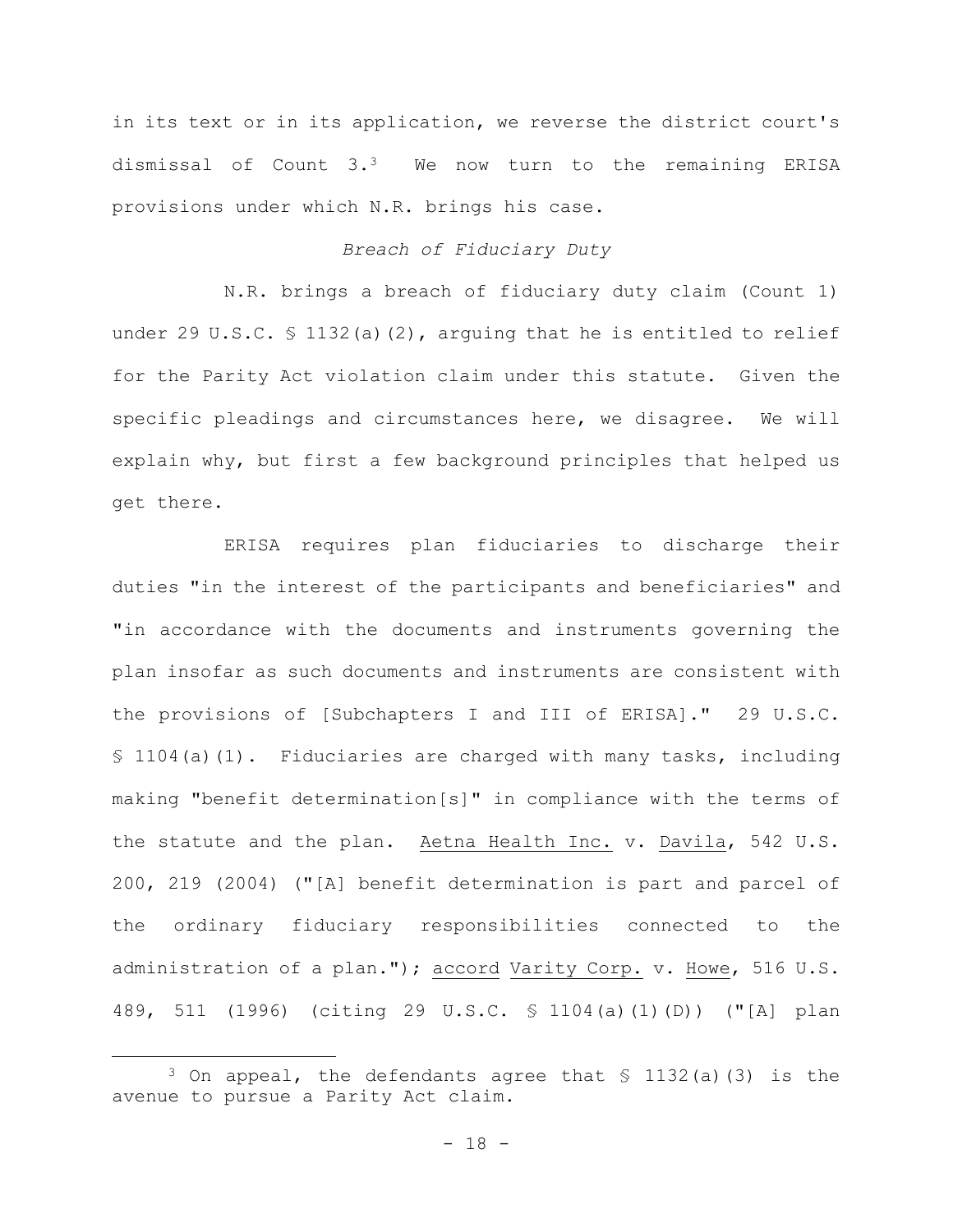in its text or in its application, we reverse the district court's dismissal of Count 3.3 We now turn to the remaining ERISA provisions under which N.R. brings his case.

## *Breach of Fiduciary Duty*

N.R. brings a breach of fiduciary duty claim (Count 1) under 29 U.S.C. § 1132(a)(2), arguing that he is entitled to relief for the Parity Act violation claim under this statute. Given the specific pleadings and circumstances here, we disagree. We will explain why, but first a few background principles that helped us get there.

ERISA requires plan fiduciaries to discharge their duties "in the interest of the participants and beneficiaries" and "in accordance with the documents and instruments governing the plan insofar as such documents and instruments are consistent with the provisions of [Subchapters I and III of ERISA]." 29 U.S.C. § 1104(a)(1). Fiduciaries are charged with many tasks, including making "benefit determination[s]" in compliance with the terms of the statute and the plan. Aetna Health Inc. v. Davila, 542 U.S. 200, 219 (2004) ("[A] benefit determination is part and parcel of the ordinary fiduciary responsibilities connected to the administration of a plan."); accord Varity Corp. v. Howe, 516 U.S. 489, 511 (1996) (citing 29 U.S.C. § 1104(a)(1)(D)) ("[A] plan

<sup>3</sup> On appeal, the defendants agree that § 1132(a)(3) is the avenue to pursue a Parity Act claim.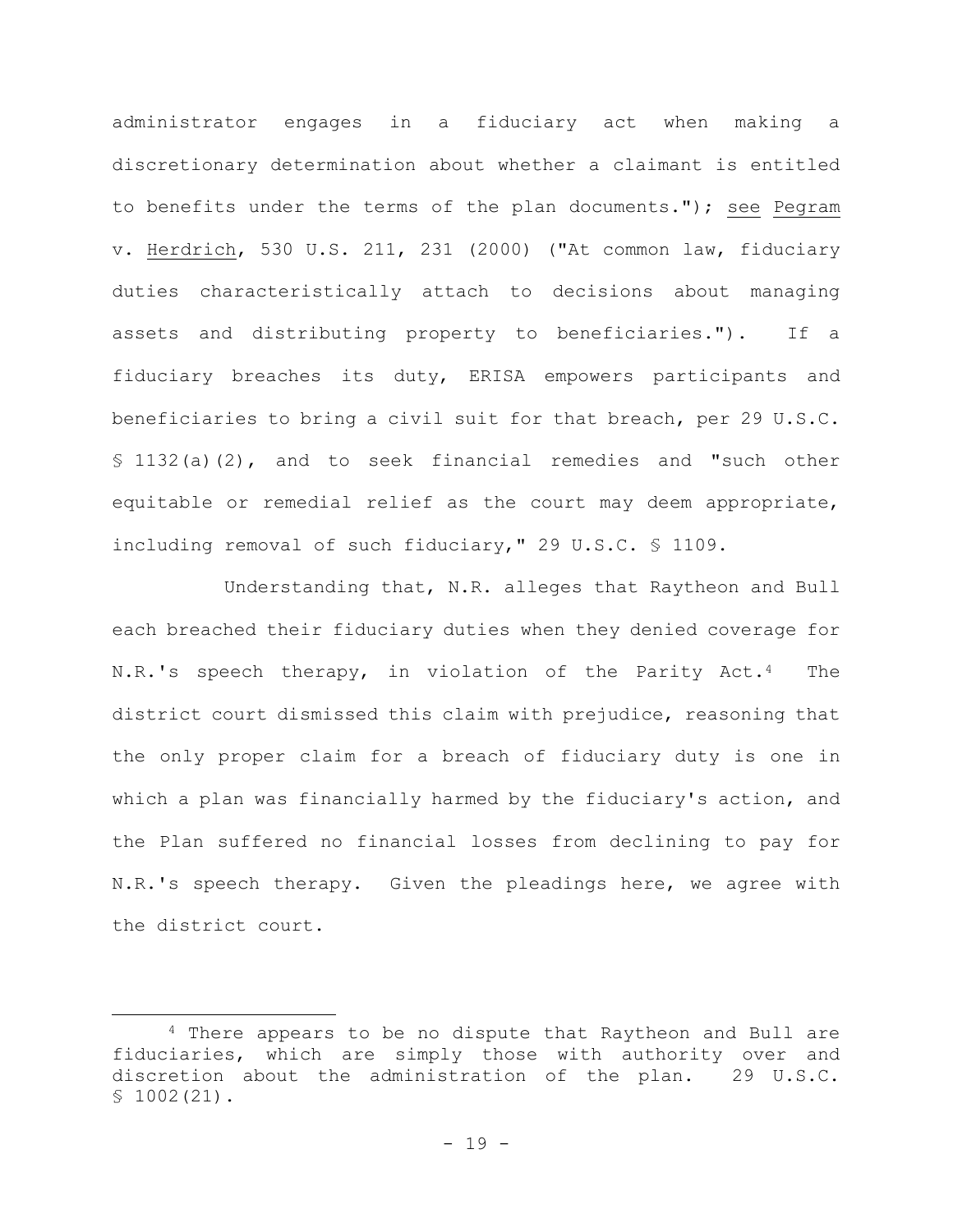administrator engages in a fiduciary act when making a discretionary determination about whether a claimant is entitled to benefits under the terms of the plan documents."); see Pegram v. Herdrich, 530 U.S. 211, 231 (2000) ("At common law, fiduciary duties characteristically attach to decisions about managing assets and distributing property to beneficiaries."). If a fiduciary breaches its duty, ERISA empowers participants and beneficiaries to bring a civil suit for that breach, per 29 U.S.C. § 1132(a)(2), and to seek financial remedies and "such other equitable or remedial relief as the court may deem appropriate, including removal of such fiduciary," 29 U.S.C. § 1109.

Understanding that, N.R. alleges that Raytheon and Bull each breached their fiduciary duties when they denied coverage for N.R.'s speech therapy, in violation of the Parity Act.4 The district court dismissed this claim with prejudice, reasoning that the only proper claim for a breach of fiduciary duty is one in which a plan was financially harmed by the fiduciary's action, and the Plan suffered no financial losses from declining to pay for N.R.'s speech therapy. Given the pleadings here, we agree with the district court.

<sup>4</sup> There appears to be no dispute that Raytheon and Bull are fiduciaries, which are simply those with authority over and discretion about the administration of the plan. 29 U.S.C.  $$1002(21)$ .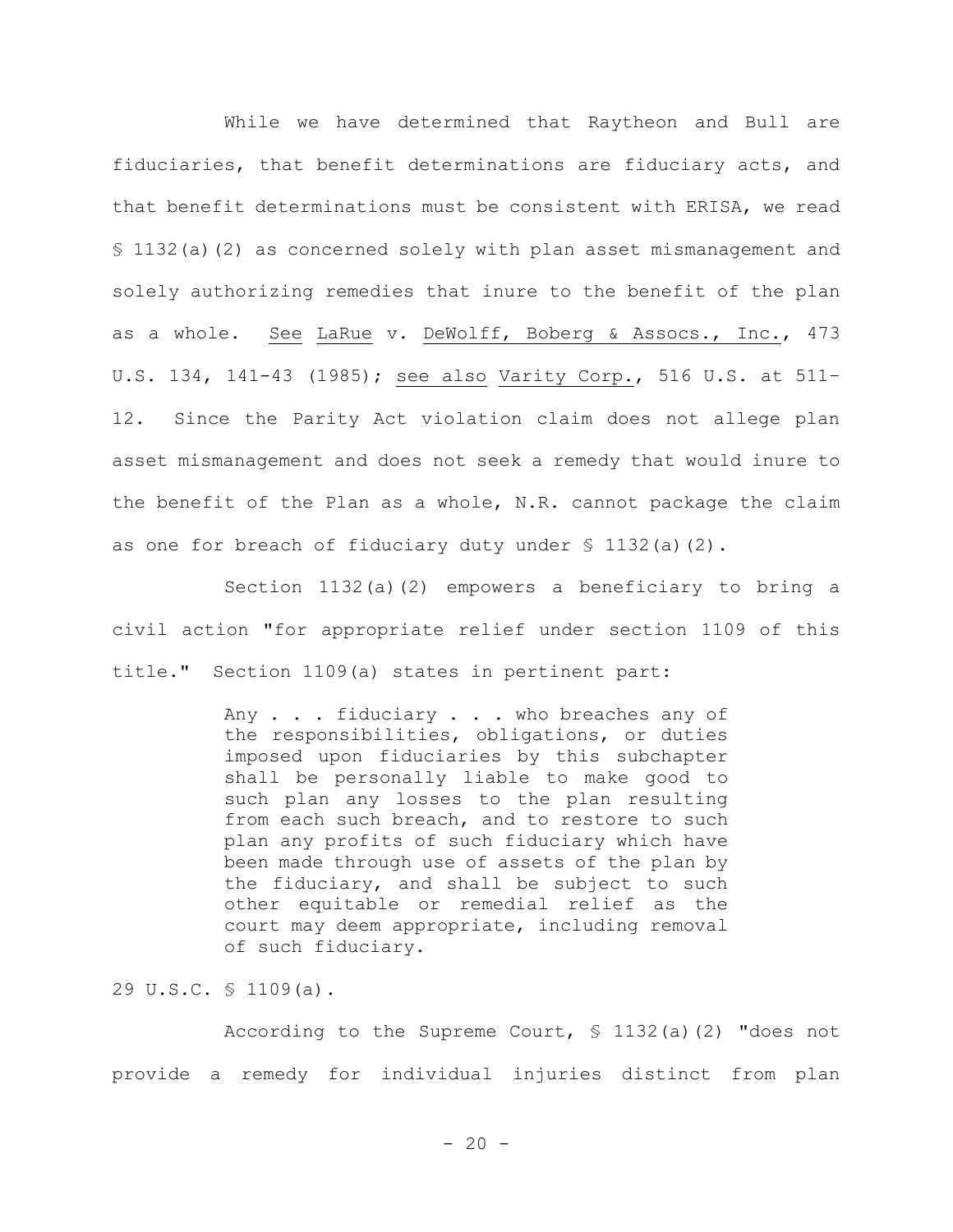While we have determined that Raytheon and Bull are fiduciaries, that benefit determinations are fiduciary acts, and that benefit determinations must be consistent with ERISA, we read § 1132(a)(2) as concerned solely with plan asset mismanagement and solely authorizing remedies that inure to the benefit of the plan as a whole. See LaRue v. DeWolff, Boberg & Assocs., Inc., 473 U.S. 134, 141-43 (1985); see also Varity Corp., 516 U.S. at 511– 12. Since the Parity Act violation claim does not allege plan asset mismanagement and does not seek a remedy that would inure to the benefit of the Plan as a whole, N.R. cannot package the claim as one for breach of fiduciary duty under  $\frac{1}{2}$  (a)(2).

Section 1132(a)(2) empowers a beneficiary to bring a civil action "for appropriate relief under section 1109 of this title." Section 1109(a) states in pertinent part:

> Any . . . fiduciary . . . who breaches any of the responsibilities, obligations, or duties imposed upon fiduciaries by this subchapter shall be personally liable to make good to such plan any losses to the plan resulting from each such breach, and to restore to such plan any profits of such fiduciary which have been made through use of assets of the plan by the fiduciary, and shall be subject to such other equitable or remedial relief as the court may deem appropriate, including removal of such fiduciary.

29 U.S.C. § 1109(a).

According to the Supreme Court,  $\frac{132}{a}$  (2) "does not provide a remedy for individual injuries distinct from plan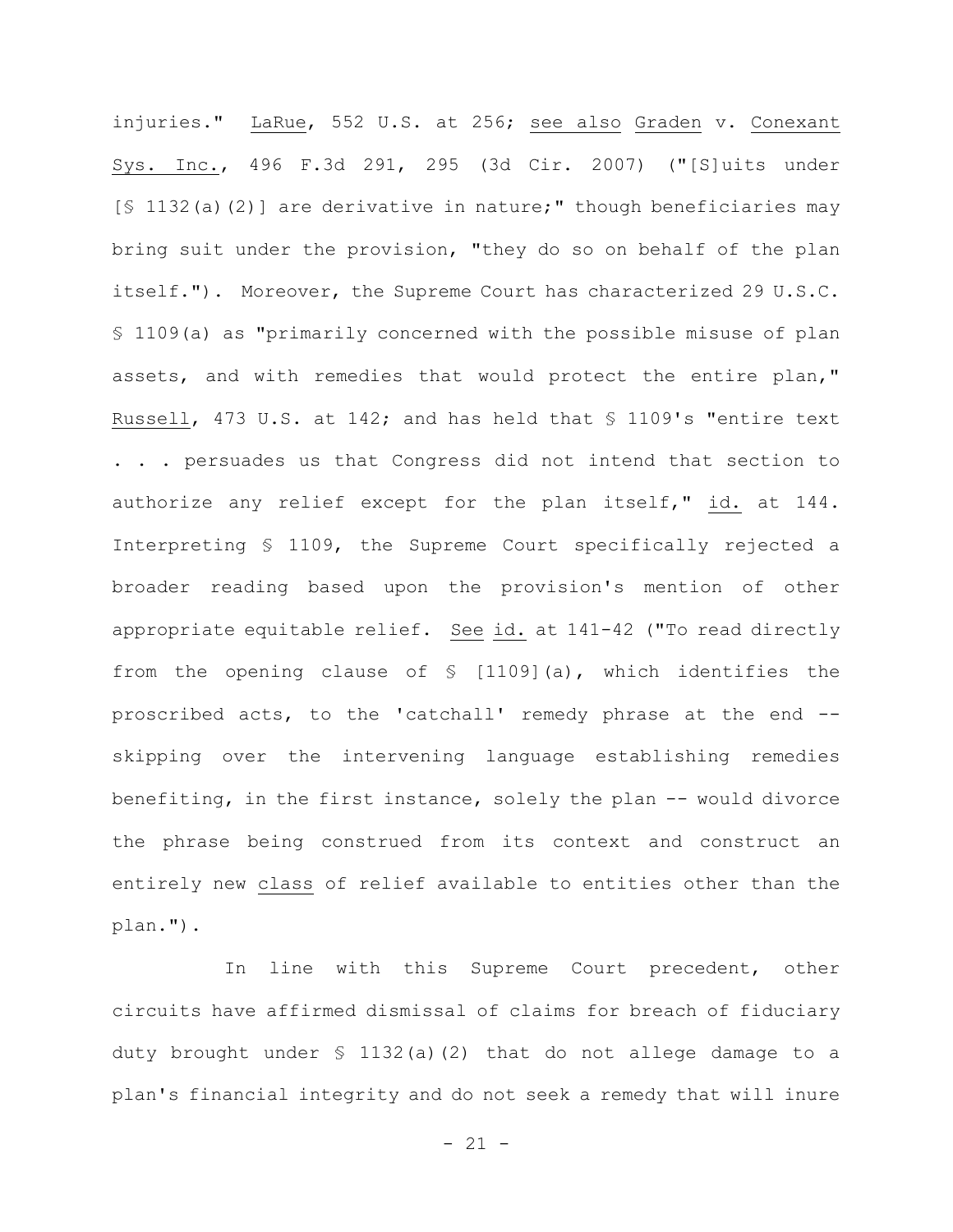injuries." LaRue, 552 U.S. at 256; see also Graden v. Conexant Sys. Inc., 496 F.3d 291, 295 (3d Cir. 2007) ("[S]uits under [§ 1132(a)(2)] are derivative in nature;" though beneficiaries may bring suit under the provision, "they do so on behalf of the plan itself."). Moreover, the Supreme Court has characterized 29 U.S.C. § 1109(a) as "primarily concerned with the possible misuse of plan assets, and with remedies that would protect the entire plan," Russell, 473 U.S. at 142; and has held that § 1109's "entire text . . . persuades us that Congress did not intend that section to authorize any relief except for the plan itself," id. at 144. Interpreting § 1109, the Supreme Court specifically rejected a broader reading based upon the provision's mention of other appropriate equitable relief. See id. at 141-42 ("To read directly from the opening clause of § [1109](a), which identifies the proscribed acts, to the 'catchall' remedy phrase at the end - skipping over the intervening language establishing remedies benefiting, in the first instance, solely the plan -- would divorce the phrase being construed from its context and construct an entirely new class of relief available to entities other than the plan.").

In line with this Supreme Court precedent, other circuits have affirmed dismissal of claims for breach of fiduciary duty brought under § 1132(a)(2) that do not allege damage to a plan's financial integrity and do not seek a remedy that will inure

 $- 21 -$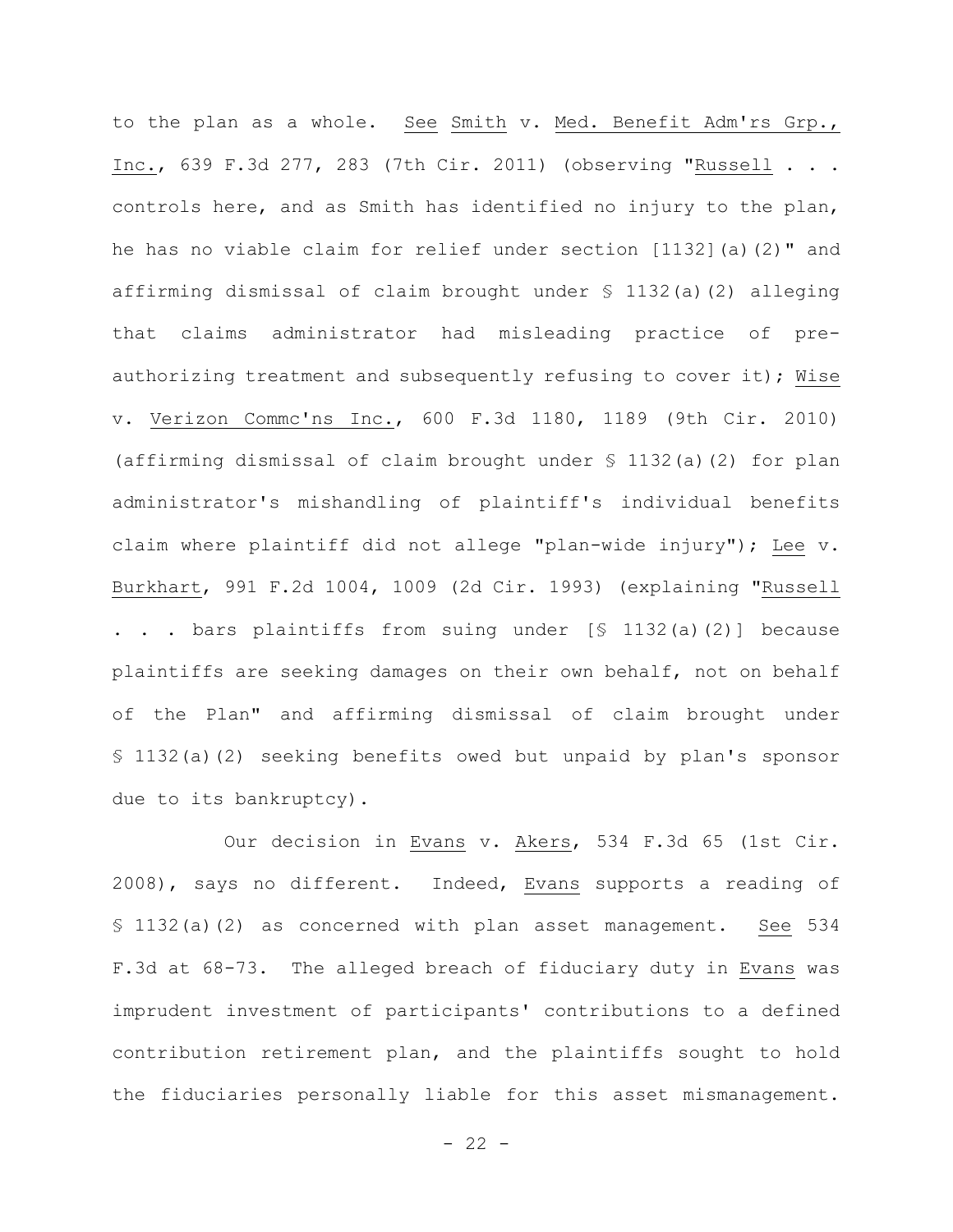to the plan as a whole. See Smith v. Med. Benefit Adm'rs Grp., Inc., 639 F.3d 277, 283 (7th Cir. 2011) (observing "Russell . . . controls here, and as Smith has identified no injury to the plan, he has no viable claim for relief under section [1132](a)(2)" and affirming dismissal of claim brought under § 1132(a)(2) alleging that claims administrator had misleading practice of preauthorizing treatment and subsequently refusing to cover it); Wise v. Verizon Commc'ns Inc., 600 F.3d 1180, 1189 (9th Cir. 2010) (affirming dismissal of claim brought under § 1132(a)(2) for plan administrator's mishandling of plaintiff's individual benefits claim where plaintiff did not allege "plan-wide injury"); Lee v. Burkhart, 991 F.2d 1004, 1009 (2d Cir. 1993) (explaining "Russell . . . bars plaintiffs from suing under [§ 1132(a)(2)] because plaintiffs are seeking damages on their own behalf, not on behalf of the Plan" and affirming dismissal of claim brought under § 1132(a)(2) seeking benefits owed but unpaid by plan's sponsor due to its bankruptcy).

Our decision in Evans v. Akers, 534 F.3d 65 (1st Cir. 2008), says no different. Indeed, Evans supports a reading of § 1132(a)(2) as concerned with plan asset management. See 534 F.3d at 68-73. The alleged breach of fiduciary duty in Evans was imprudent investment of participants' contributions to a defined contribution retirement plan, and the plaintiffs sought to hold the fiduciaries personally liable for this asset mismanagement.

 $- 22 -$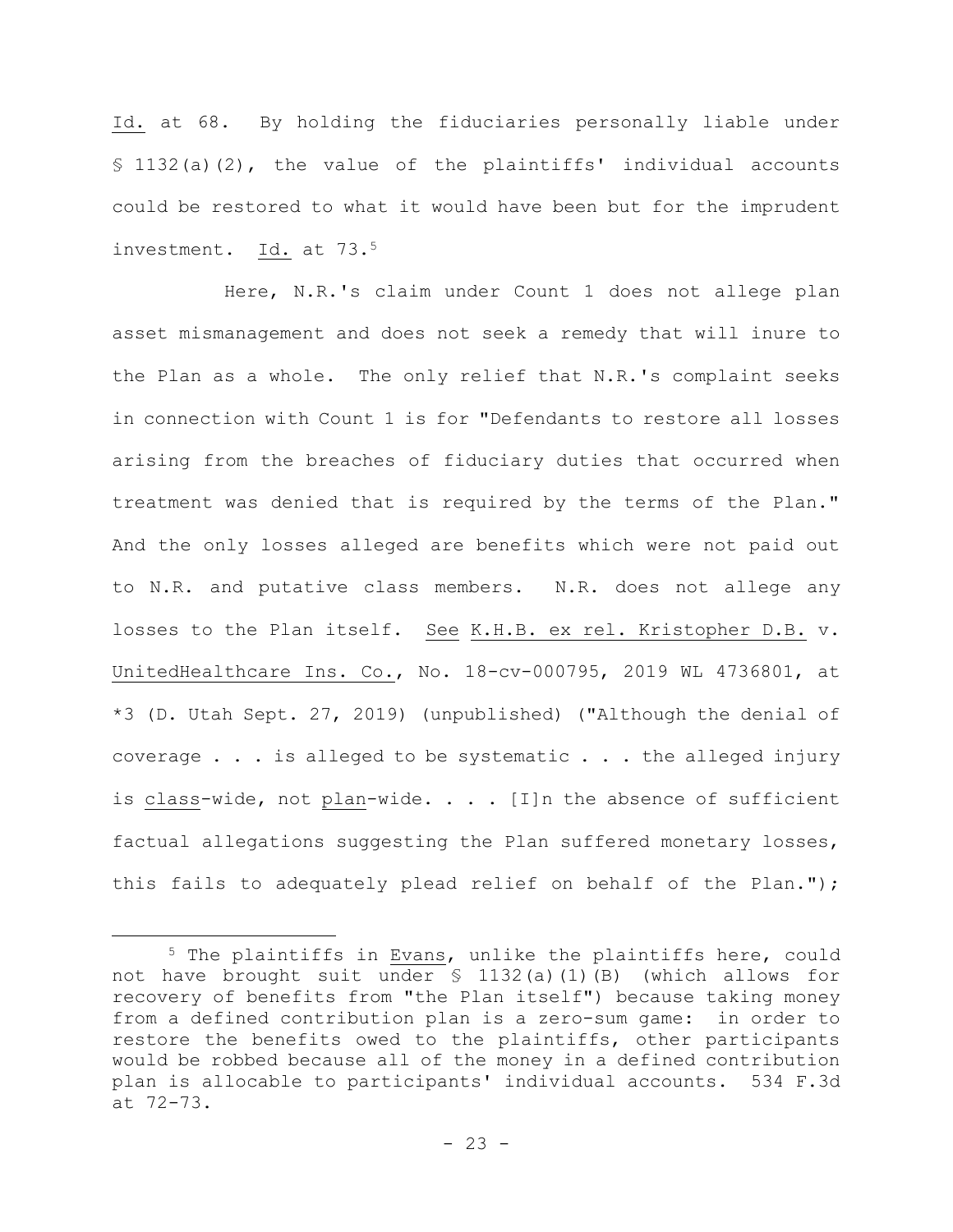Id. at 68. By holding the fiduciaries personally liable under § 1132(a)(2), the value of the plaintiffs' individual accounts could be restored to what it would have been but for the imprudent investment. Id. at 73.<sup>5</sup>

Here, N.R.'s claim under Count 1 does not allege plan asset mismanagement and does not seek a remedy that will inure to the Plan as a whole. The only relief that N.R.'s complaint seeks in connection with Count 1 is for "Defendants to restore all losses arising from the breaches of fiduciary duties that occurred when treatment was denied that is required by the terms of the Plan." And the only losses alleged are benefits which were not paid out to N.R. and putative class members. N.R. does not allege any losses to the Plan itself. See K.H.B. ex rel. Kristopher D.B. v. UnitedHealthcare Ins. Co., No. 18-cv-000795, 2019 WL 4736801, at \*3 (D. Utah Sept. 27, 2019) (unpublished) ("Although the denial of coverage . . . is alleged to be systematic . . . the alleged injury is class-wide, not plan-wide.  $\ldots$  . [I]n the absence of sufficient factual allegations suggesting the Plan suffered monetary losses, this fails to adequately plead relief on behalf of the Plan.");

<sup>5</sup> The plaintiffs in Evans, unlike the plaintiffs here, could not have brought suit under § 1132(a)(1)(B) (which allows for recovery of benefits from "the Plan itself") because taking money from a defined contribution plan is a zero-sum game: in order to restore the benefits owed to the plaintiffs, other participants would be robbed because all of the money in a defined contribution plan is allocable to participants' individual accounts. 534 F.3d at 72-73.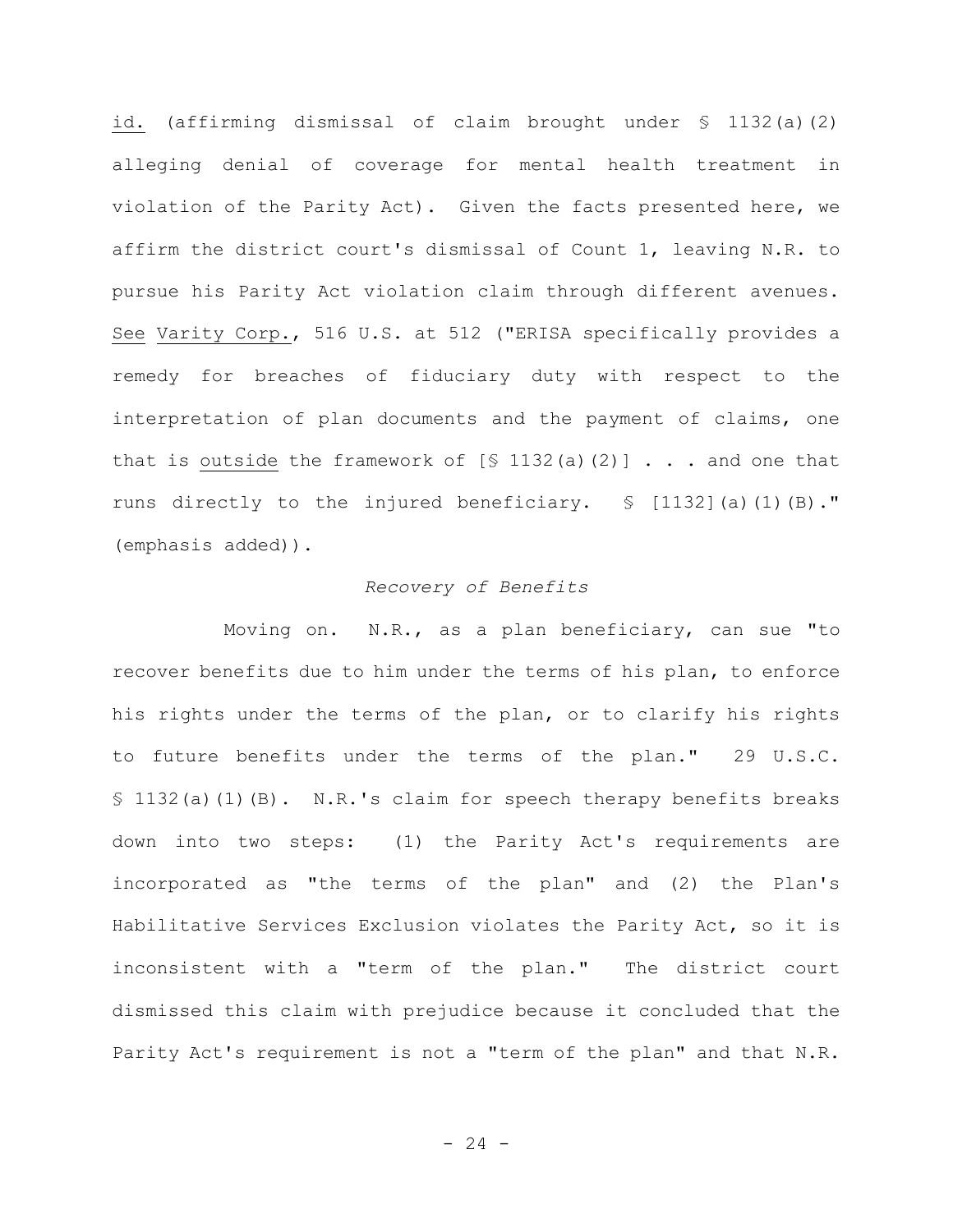id. (affirming dismissal of claim brought under § 1132(a)(2) alleging denial of coverage for mental health treatment in violation of the Parity Act). Given the facts presented here, we affirm the district court's dismissal of Count 1, leaving N.R. to pursue his Parity Act violation claim through different avenues. See Varity Corp., 516 U.S. at 512 ("ERISA specifically provides a remedy for breaches of fiduciary duty with respect to the interpretation of plan documents and the payment of claims, one that is outside the framework of  $[$ 1132(a)(2)]$  . . . and one that runs directly to the injured beneficiary. § [1132](a)(1)(B)." (emphasis added)).

#### *Recovery of Benefits*

Moving on. N.R., as a plan beneficiary, can sue "to recover benefits due to him under the terms of his plan, to enforce his rights under the terms of the plan, or to clarify his rights to future benefits under the terms of the plan." 29 U.S.C. § 1132(a)(1)(B). N.R.'s claim for speech therapy benefits breaks down into two steps: (1) the Parity Act's requirements are incorporated as "the terms of the plan" and (2) the Plan's Habilitative Services Exclusion violates the Parity Act, so it is inconsistent with a "term of the plan." The district court dismissed this claim with prejudice because it concluded that the Parity Act's requirement is not a "term of the plan" and that N.R.

 $- 24 -$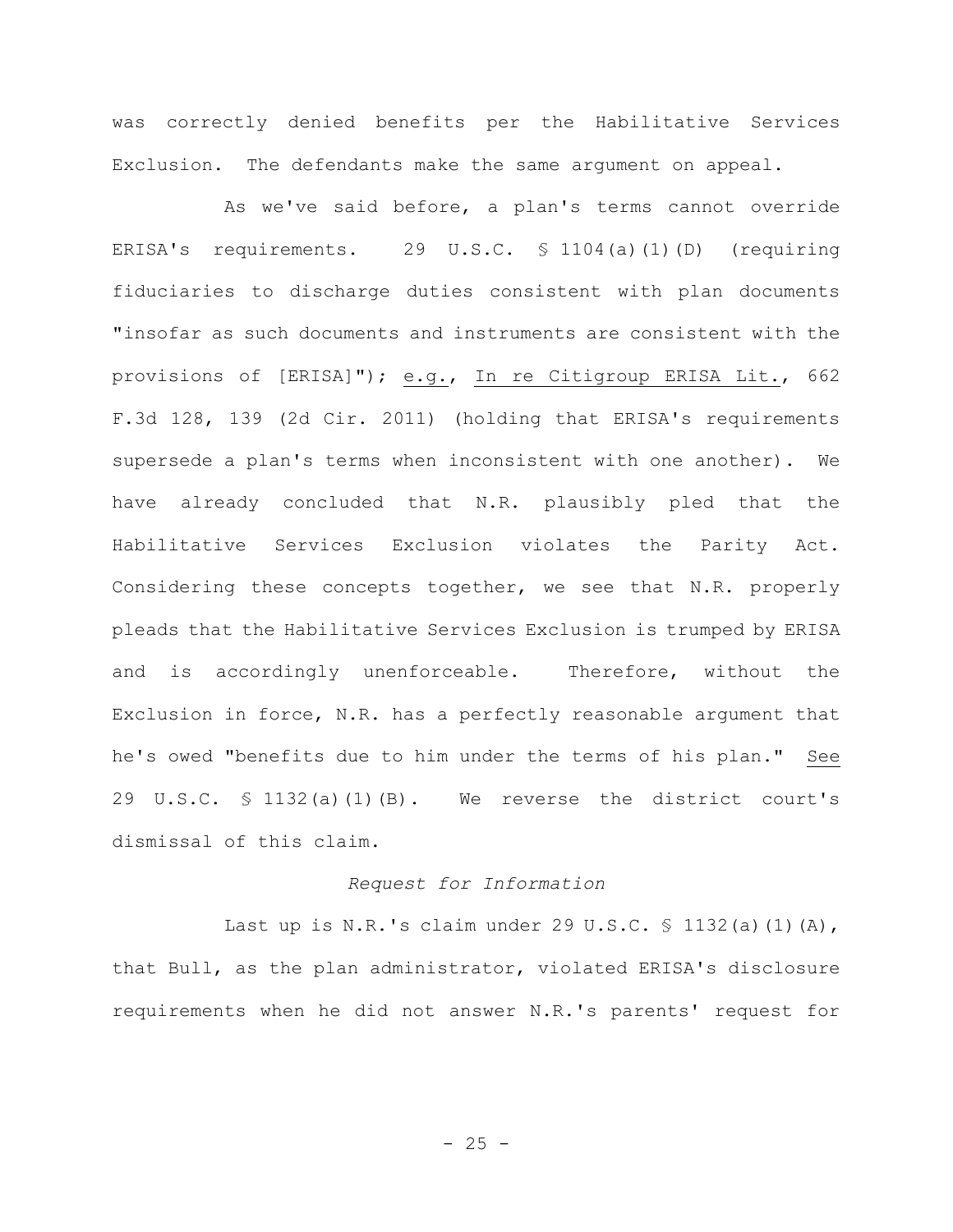was correctly denied benefits per the Habilitative Services Exclusion. The defendants make the same argument on appeal.

As we've said before, a plan's terms cannot override ERISA's requirements. 29 U.S.C. § 1104(a)(1)(D) (requiring fiduciaries to discharge duties consistent with plan documents "insofar as such documents and instruments are consistent with the provisions of [ERISA]"); e.g., In re Citigroup ERISA Lit., 662 F.3d 128, 139 (2d Cir. 2011) (holding that ERISA's requirements supersede a plan's terms when inconsistent with one another). We have already concluded that N.R. plausibly pled that the Habilitative Services Exclusion violates the Parity Act. Considering these concepts together, we see that N.R. properly pleads that the Habilitative Services Exclusion is trumped by ERISA and is accordingly unenforceable. Therefore, without the Exclusion in force, N.R. has a perfectly reasonable argument that he's owed "benefits due to him under the terms of his plan." See 29 U.S.C. § 1132(a)(1)(B). We reverse the district court's dismissal of this claim.

## *Request for Information*

Last up is N.R.'s claim under 29 U.S.C. § 1132(a)(1)(A), that Bull, as the plan administrator, violated ERISA's disclosure requirements when he did not answer N.R.'s parents' request for

 $- 25 -$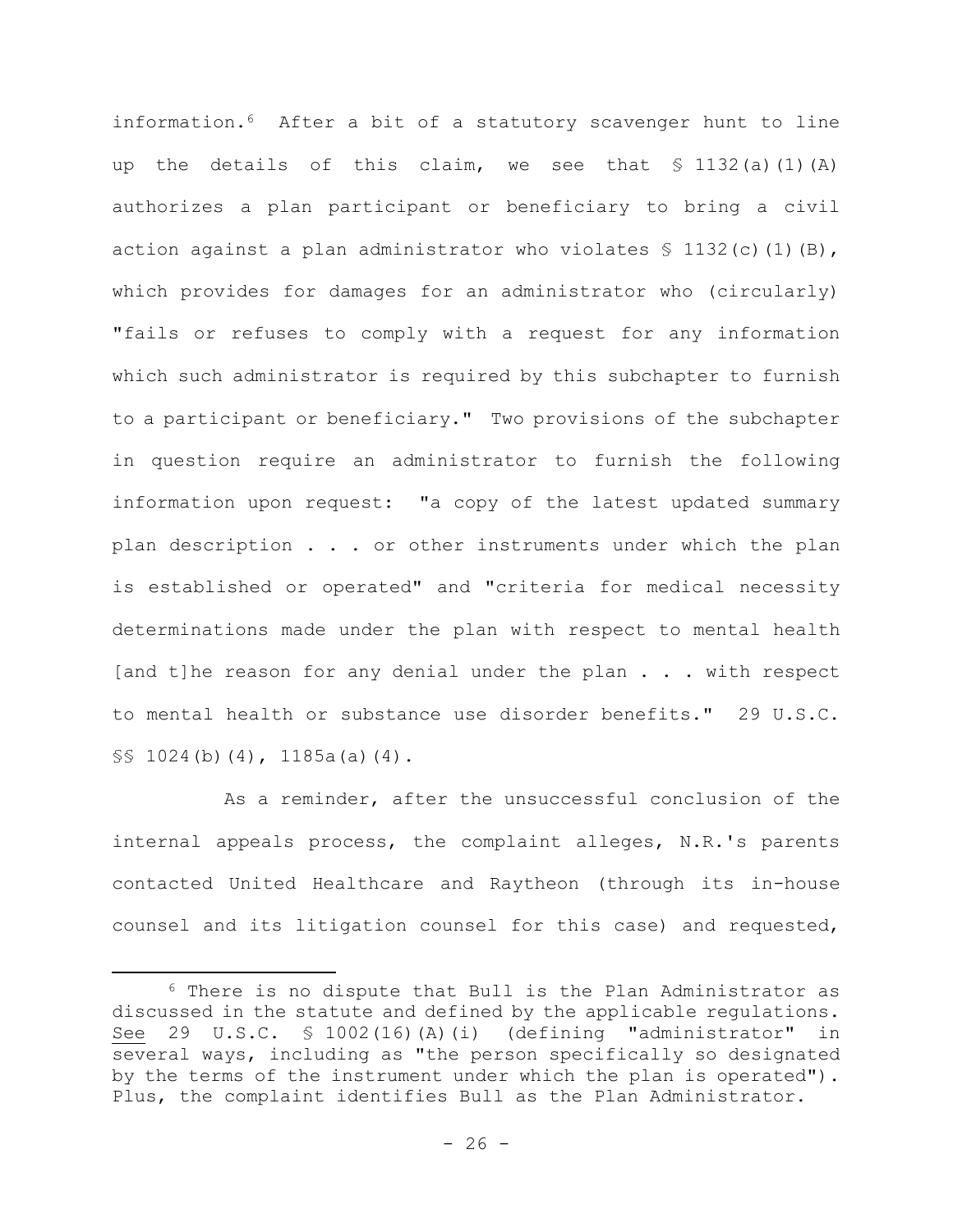information.6 After a bit of a statutory scavenger hunt to line up the details of this claim, we see that  $\frac{132}{a}(a)(1)(A)$ authorizes a plan participant or beneficiary to bring a civil action against a plan administrator who violates  $\frac{1}{2}$  1132(c)(1)(B), which provides for damages for an administrator who (circularly) "fails or refuses to comply with a request for any information which such administrator is required by this subchapter to furnish to a participant or beneficiary." Two provisions of the subchapter in question require an administrator to furnish the following information upon request: "a copy of the latest updated summary plan description . . . or other instruments under which the plan is established or operated" and "criteria for medical necessity determinations made under the plan with respect to mental health [and t]he reason for any denial under the plan  $\ldots$  with respect to mental health or substance use disorder benefits." 29 U.S.C. §§ 1024(b)(4), 1185a(a)(4).

As a reminder, after the unsuccessful conclusion of the internal appeals process, the complaint alleges, N.R.'s parents contacted United Healthcare and Raytheon (through its in-house counsel and its litigation counsel for this case) and requested,

<sup>6</sup> There is no dispute that Bull is the Plan Administrator as discussed in the statute and defined by the applicable regulations. See 29 U.S.C. § 1002(16)(A)(i) (defining "administrator" in several ways, including as "the person specifically so designated by the terms of the instrument under which the plan is operated"). Plus, the complaint identifies Bull as the Plan Administrator.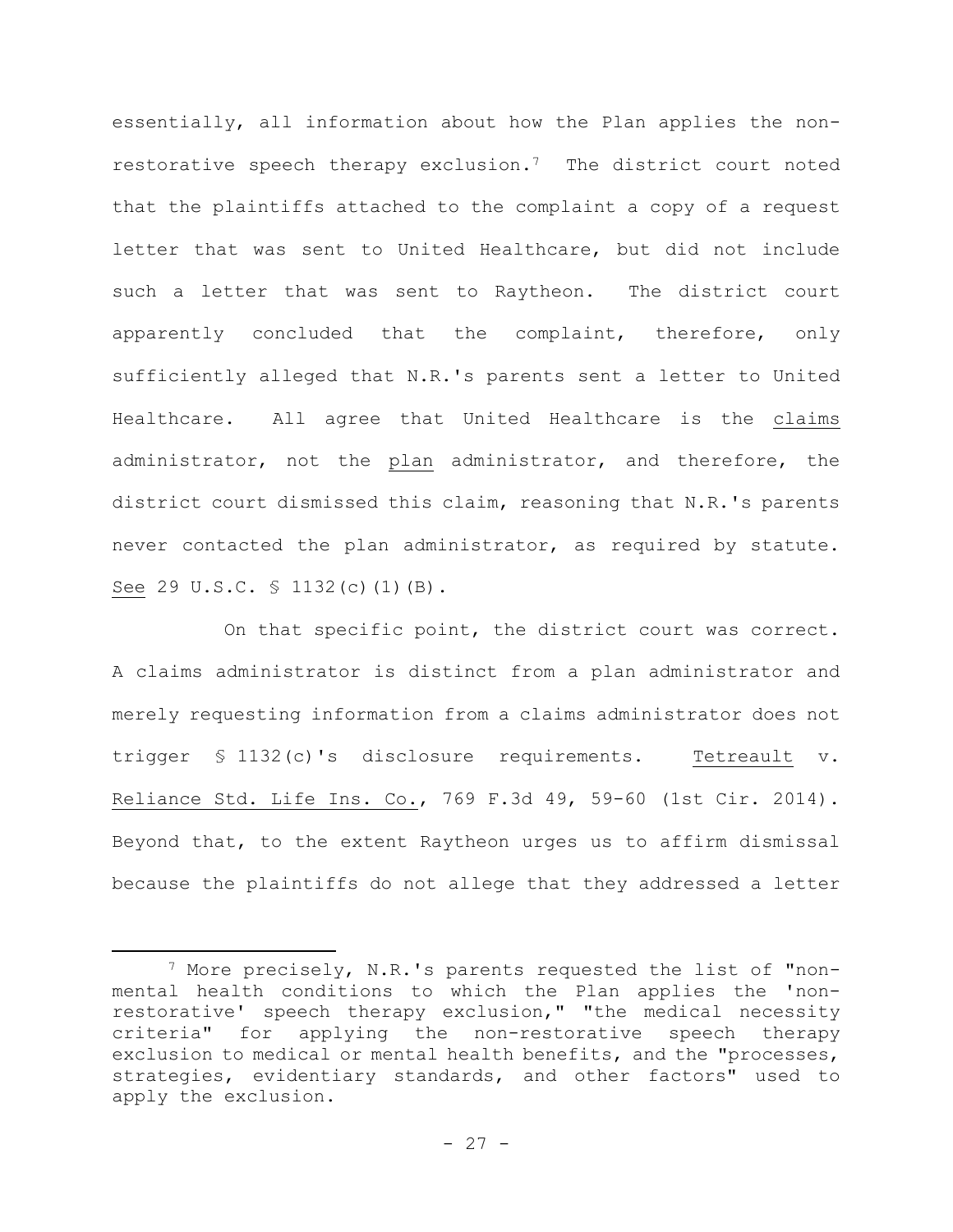essentially, all information about how the Plan applies the nonrestorative speech therapy exclusion.7 The district court noted that the plaintiffs attached to the complaint a copy of a request letter that was sent to United Healthcare, but did not include such a letter that was sent to Raytheon. The district court apparently concluded that the complaint, therefore, only sufficiently alleged that N.R.'s parents sent a letter to United Healthcare. All agree that United Healthcare is the claims administrator, not the plan administrator, and therefore, the district court dismissed this claim, reasoning that N.R.'s parents never contacted the plan administrator, as required by statute. See 29 U.S.C. § 1132(c)(1)(B).

On that specific point, the district court was correct. A claims administrator is distinct from a plan administrator and merely requesting information from a claims administrator does not trigger § 1132(c)'s disclosure requirements. Tetreault v. Reliance Std. Life Ins. Co., 769 F.3d 49, 59-60 (1st Cir. 2014). Beyond that, to the extent Raytheon urges us to affirm dismissal because the plaintiffs do not allege that they addressed a letter

<sup>7</sup> More precisely, N.R.'s parents requested the list of "nonmental health conditions to which the Plan applies the 'nonrestorative' speech therapy exclusion," "the medical necessity criteria" for applying the non-restorative speech therapy exclusion to medical or mental health benefits, and the "processes, strategies, evidentiary standards, and other factors" used to apply the exclusion.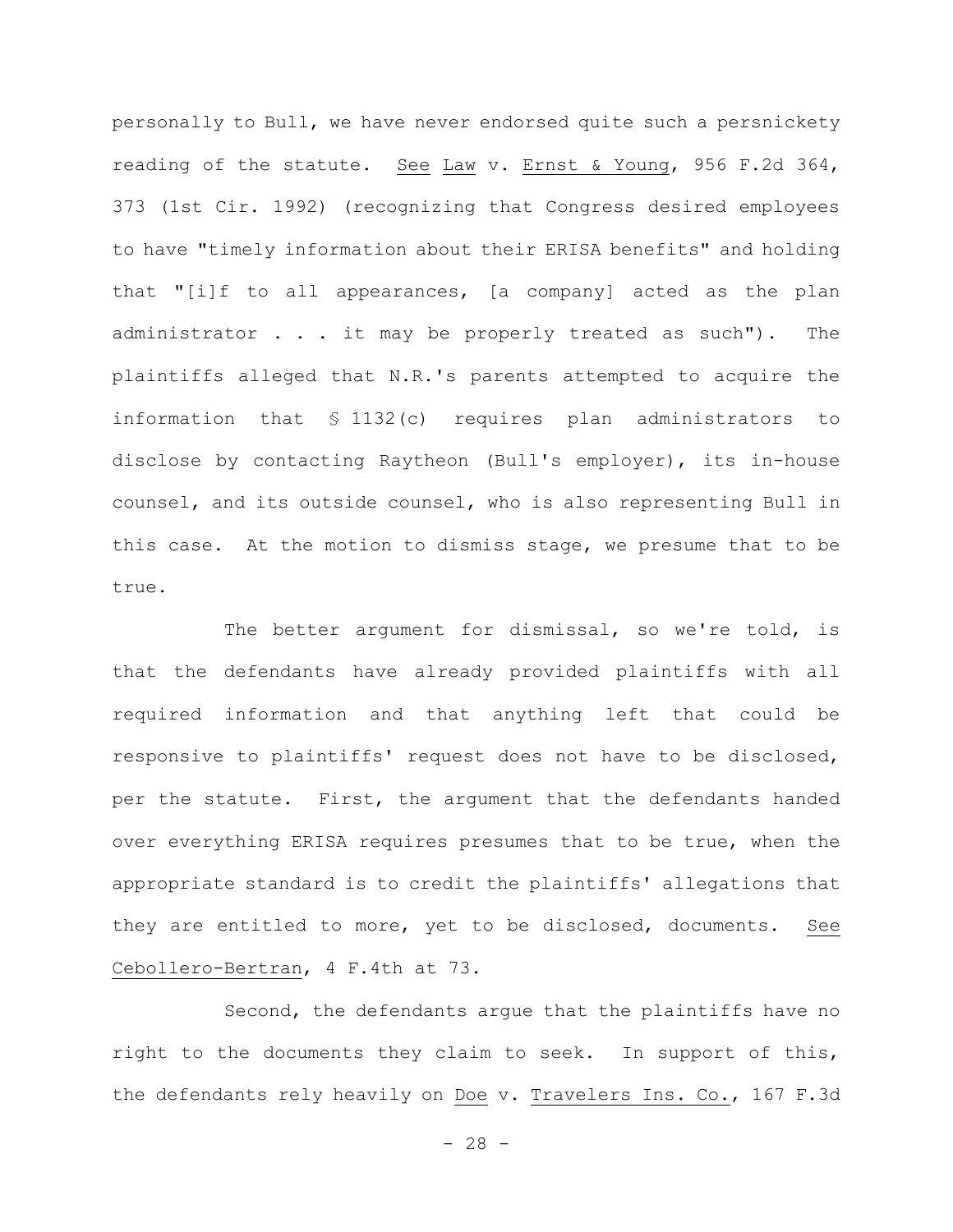personally to Bull, we have never endorsed quite such a persnickety reading of the statute. See Law v. Ernst & Young, 956 F.2d 364, 373 (1st Cir. 1992) (recognizing that Congress desired employees to have "timely information about their ERISA benefits" and holding that "[i]f to all appearances, [a company] acted as the plan administrator . . . it may be properly treated as such"). The plaintiffs alleged that N.R.'s parents attempted to acquire the information that § 1132(c) requires plan administrators to disclose by contacting Raytheon (Bull's employer), its in-house counsel, and its outside counsel, who is also representing Bull in this case. At the motion to dismiss stage, we presume that to be true.

The better argument for dismissal, so we're told, is that the defendants have already provided plaintiffs with all required information and that anything left that could be responsive to plaintiffs' request does not have to be disclosed, per the statute. First, the argument that the defendants handed over everything ERISA requires presumes that to be true, when the appropriate standard is to credit the plaintiffs' allegations that they are entitled to more, yet to be disclosed, documents. See Cebollero-Bertran, 4 F.4th at 73.

Second, the defendants argue that the plaintiffs have no right to the documents they claim to seek. In support of this, the defendants rely heavily on Doe v. Travelers Ins. Co., 167 F.3d

 $- 28 -$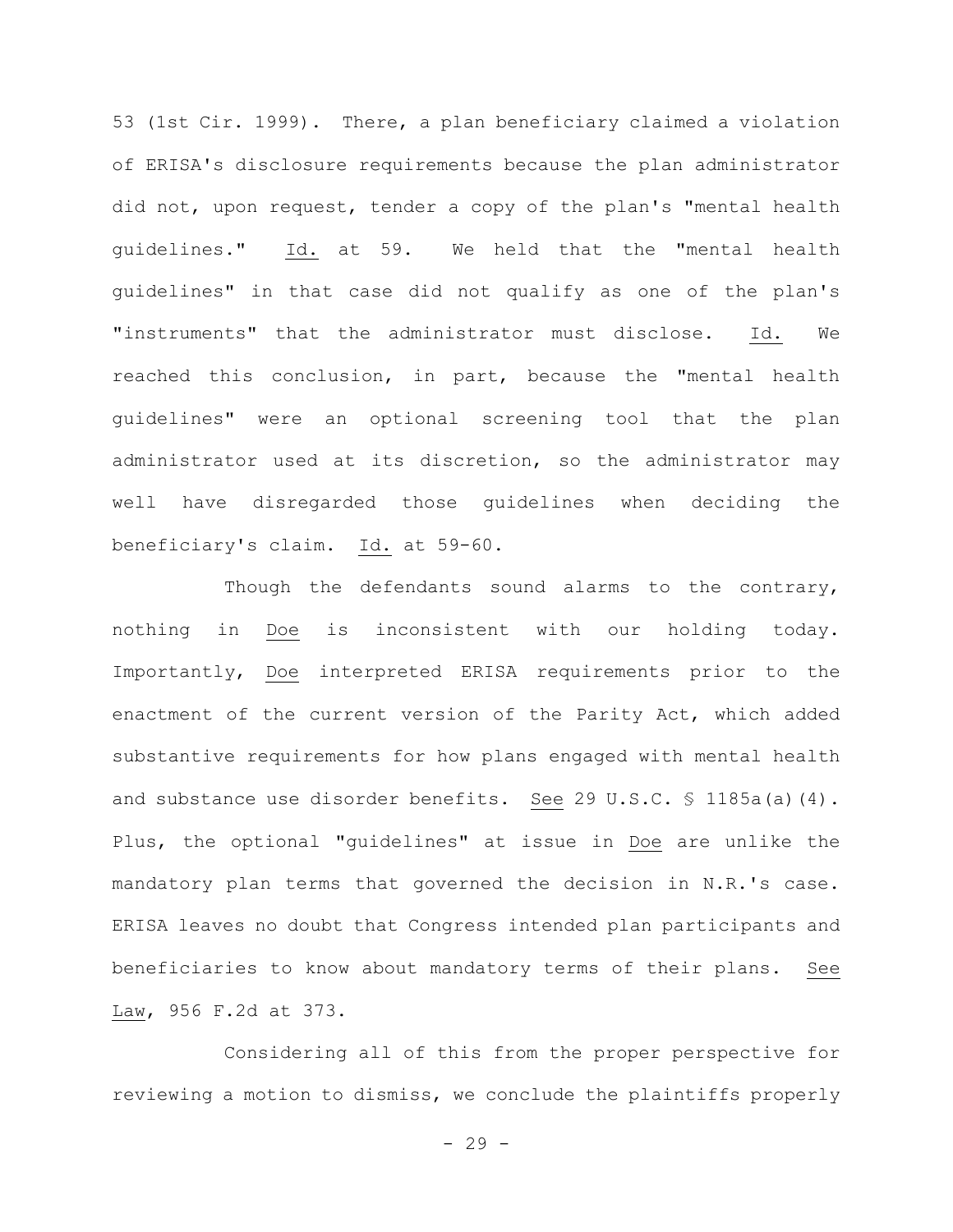53 (1st Cir. 1999). There, a plan beneficiary claimed a violation of ERISA's disclosure requirements because the plan administrator did not, upon request, tender a copy of the plan's "mental health guidelines." Id. at 59. We held that the "mental health guidelines" in that case did not qualify as one of the plan's "instruments" that the administrator must disclose. Id. We reached this conclusion, in part, because the "mental health guidelines" were an optional screening tool that the plan administrator used at its discretion, so the administrator may well have disregarded those guidelines when deciding the beneficiary's claim. Id. at 59-60.

Though the defendants sound alarms to the contrary, nothing in Doe is inconsistent with our holding today. Importantly, Doe interpreted ERISA requirements prior to the enactment of the current version of the Parity Act, which added substantive requirements for how plans engaged with mental health and substance use disorder benefits. See 29 U.S.C. § 1185a(a)(4). Plus, the optional "guidelines" at issue in Doe are unlike the mandatory plan terms that governed the decision in N.R.'s case. ERISA leaves no doubt that Congress intended plan participants and beneficiaries to know about mandatory terms of their plans. See Law, 956 F.2d at 373.

Considering all of this from the proper perspective for reviewing a motion to dismiss, we conclude the plaintiffs properly

 $-29 -$